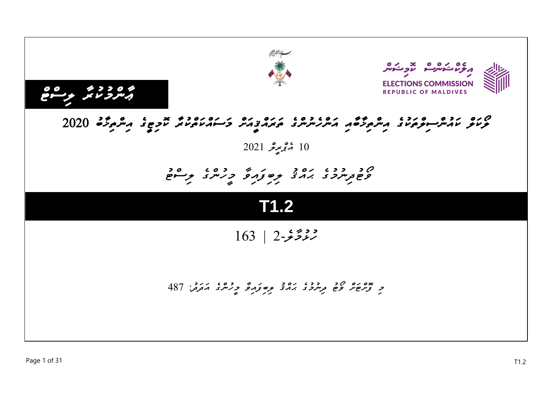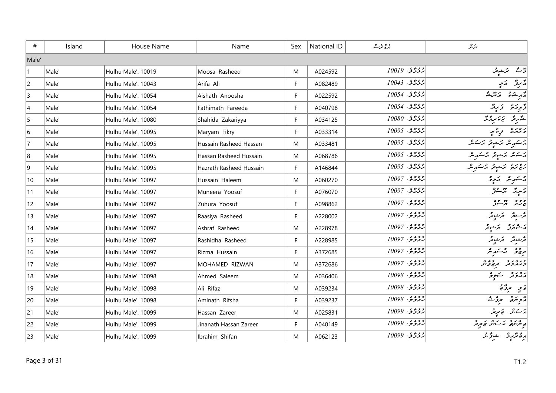| #               | Island | House Name         | Name                    | Sex | National ID | ، ه ، ره<br>مر: برگ | ىئرىتر                                     |
|-----------------|--------|--------------------|-------------------------|-----|-------------|---------------------|--------------------------------------------|
| Male'           |        |                    |                         |     |             |                     |                                            |
| $\vert$ 1       | Male'  | Hulhu Male'. 10019 | Moosa Rasheed           | M   | A024592     | 10019.5522          | وحرث المرتبونر                             |
| $ 2\rangle$     | Male'  | Hulhu Male'. 10043 | Arifa Ali               | F   | A082489     | 10043.5533          | ە ئىمرۇ ھ                                  |
| $\vert$ 3       | Male'  | Hulhu Male'. 10054 | Aishath Anoosha         | F   | A022592     | $10054.$ \$\$\$     | م المستوفي من المستوفية                    |
| $\vert 4$       | Male'  | Hulhu Male'. 10054 | Fathimath Fareeda       | F   | A040798     | 10054.5522          | وٌمِ وَمَعْ وَمَرِ مَرْ                    |
| $\overline{5}$  | Male'  | Hulhu Male'. 10080 | Shahida Zakariyya       | F   | A034125     | 10080.5522          | شورقر تم المره و                           |
| $6\overline{6}$ | Male'  | Hulhu Male'. 10095 | Maryam Fikry            | F   | A033314     | $10095.$ \$\$\$     | د ۵ ر ۵ و ۶ مړينې                          |
| $\overline{7}$  | Male'  | Hulhu Male'. 10095 | Hussain Rasheed Hassan  | M   | A033481     | $10095.$ \$\$\$     | برسكريكل بمرجوش بمسكس                      |
| 8               | Male'  | Hulhu Male'. 10095 | Hassan Rasheed Hussain  | M   | A068786     | 10095.5522          | ىركىش ترجونى بركتهرنش                      |
| 9               | Male'  | Hulhu Male'. 10095 | Hazrath Rasheed Hussain | F   | A146844     | 10095.532           | رە بەج ئەسوقر بر سەر بىر                   |
| 10              | Male'  | Hulhu Male'. 10097 | Hussain Haleem          | M   | A060270     | $10097.$ 533        | يزخير شه بريزي                             |
| 11              | Male'  | Hulhu Male'. 10097 | Muneera Yoosuf          | F   | A076070     | $10097.$ 533        | دېږېگە تەرجىق                              |
| 12              | Male'  | Hulhu Male'. 10097 | Zuhura Yoosuf           | F   | A098862     | 10097.533           | و و په دوه وه<br>پي سر پر برگسونو          |
| 13              | Male'  | Hulhu Male'. 10097 | Raasiya Rasheed         | F   | A228002     | $10097.$ 533        | نگرسون <i>گر نمک پ</i> و                   |
| 14              | Male'  | Hulhu Male'. 10097 | Ashraf Rasheed          | M   | A228978     | $10097.$ 533        | كالشامرة المخاطبون                         |
| 15              | Male'  | Hulhu Male'. 10097 | Rashidha Rasheed        | F   | A228985     | 10097.533           | مُرْجُونَزُ مَرْجُونَزُ                    |
| 16              | Male'  | Hulhu Male'. 10097 | Rizma Hussain           | F   | A372685     | 10097.552           | ىرچۇ بەسكەبلا                              |
| 17              | Male'  | Hulhu Male'. 10097 | MOHAMED RIZWAN          | M   | A372686     | $10097.$ 533        | ورەرو بولۇھ                                |
| 18              | Male'  | Hulhu Male'. 10098 | Ahmed Saleem            | M   | A036406     | 10098.552           | ړ ور د سکوری                               |
| 19              | Male'  | Hulhu Male'. 10098 | Ali Rifaz               | M   | A039234     | 10098.533           | أەسم بوقرىنى                               |
| 20              | Male'  | Hulhu Male'. 10098 | Aminath Rifsha          | F   | A039237     | 10098.533           |                                            |
| 21              | Male'  | Hulhu Male'. 10099 | Hassan Zareer           | M   | A025831     | $10099.$ $553.2$    | ىرىكىش ئەيرىگە                             |
| 22              | Male'  | Hulhu Male'. 10099 | Jinanath Hassan Zareer  | F   | A040149     | $10099.$ $553.2$    | م برد در ده بر ده<br>محسن بر استراه استراه |
| 23              | Male'  | Hulhu Male'. 10099 | Ibrahim Shifan          | M   | A062123     | $10099.$ $553.2$    | أرەنۇر ئەرگىر                              |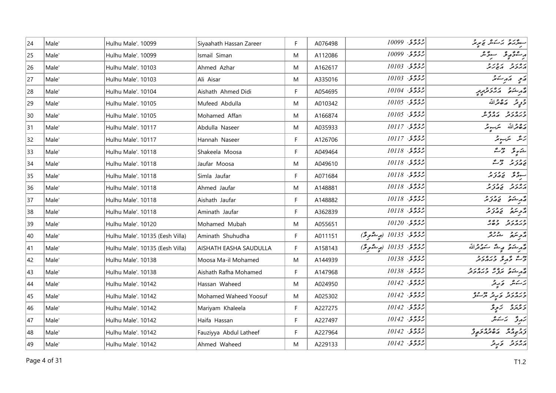| 24 | Male' | Hulhu Male'. 10099              | Siyaahath Hassan Zareer | F | A076498 | $10099.$ 532             | سوزېره برسونکر ټوپلر                                                                                                                                                                                                                                                                                                          |
|----|-------|---------------------------------|-------------------------|---|---------|--------------------------|-------------------------------------------------------------------------------------------------------------------------------------------------------------------------------------------------------------------------------------------------------------------------------------------------------------------------------|
| 25 | Male' | Hulhu Male'. 10099              | Ismail Siman            | M | A112086 | 10099.533                | ر مو د پوه سرگند                                                                                                                                                                                                                                                                                                              |
| 26 | Male' | Hulhu Male'. 10103              | Ahmed Azhar             | M | A162617 | 10103.5522               | ر ور د در در                                                                                                                                                                                                                                                                                                                  |
| 27 | Male' | Hulhu Male'. 10103              | Ali Aisar               | M | A335016 | 10103.5522               | ړې د ديگ                                                                                                                                                                                                                                                                                                                      |
| 28 | Male' | Hulhu Male'. 10104              | Aishath Ahmed Didi      | F | A054695 | 10104.5532               |                                                                                                                                                                                                                                                                                                                               |
| 29 | Male' | Hulhu Male'. 10105              | Mufeed Abdulla          | M | A010342 | 10105.5522               | 3 موتر    مركاة مرالله                                                                                                                                                                                                                                                                                                        |
| 30 | Male' | Hulhu Male'. 10105              | Mohamed Affan           | M | A166874 | 10105.533                | ورەرو رەپەر<br>جەمەدىر مەمەئ                                                                                                                                                                                                                                                                                                  |
| 31 | Male' | Hulhu Male'. 10117              | Abdulla Naseer          | M | A035933 | $10117.$ 533             | أرَّة مِّرَاللَّهُ سَرَجِعَهُ                                                                                                                                                                                                                                                                                                 |
| 32 | Male' | Hulhu Male'. 10117              | Hannah Naseer           | F | A126706 | $10117.$ 533             | ئەنگە - ئىكرىيەتمە                                                                                                                                                                                                                                                                                                            |
| 33 | Male' | Hulhu Male'. 10118              | Shakeela Moosa          | F | A049464 | 10118.5522               | $\begin{bmatrix} 2 & 2 & 2 & 2 \\ 2 & 2 & 2 & 2 \\ 3 & 2 & 2 & 2 \\ 4 & 2 & 2 & 2 \\ 5 & 2 & 2 & 2 \\ 6 & 2 & 2 & 2 \\ 10 & 2 & 2 & 2 \\ 21 & 2 & 2 & 2 \\ 32 & 2 & 2 & 2 \\ 4 & 2 & 2 & 2 \\ 5 & 2 & 2 & 2 \\ 21 & 2 & 2 & 2 \\ 32 & 2 & 2 & 2 \\ 4 & 2 & 2 & 2 \\ 5 & 2 & 2 & 2 \\ 5 & 2 & 2 & 2 \\ 6 & 2 & 2 & 2 \\ 6 & 2$ |
| 34 | Male' | Hulhu Male'. 10118              | Jaufar Moosa            | M | A049610 | 10118.533                | ر در در ده                                                                                                                                                                                                                                                                                                                    |
| 35 | Male' | Hulhu Male'. 10118              | Simla Jaufar            | F | A071684 | 10118.552                | سوۋى ئەرزىر                                                                                                                                                                                                                                                                                                                   |
| 36 | Male' | Hulhu Male'. 10118              | Ahmed Jaufar            | M | A148881 | 10118.552                | د ه د د د د د و<br>  د بر د د س د بار و بر                                                                                                                                                                                                                                                                                    |
| 37 | Male' | Hulhu Male'. 10118              | Aishath Jaufar          | F | A148882 | 10118.5522               | وأرشكم في وكر                                                                                                                                                                                                                                                                                                                 |
| 38 | Male' | Hulhu Male'. 10118              | Aminath Jaufar          | F | A362839 | 10118.5522               | أثر وسرة والمردوح                                                                                                                                                                                                                                                                                                             |
| 39 | Male' | Hulhu Male'. 10120              | Mohamed Mubah           | M | A055651 | 10120.5533               | 0 42 21012                                                                                                                                                                                                                                                                                                                    |
| 40 | Male' | Hulhu Male'. 10135 (Eesh Villa) | Aminath Shuhudha        | F | A011151 | 23 كَ. 10135 (مِشْعُومٌ) | و مرد مقامته                                                                                                                                                                                                                                                                                                                  |
| 41 | Male' | Hulhu Male'. 10135 (Eesh Villa) | AISHATH EASHA SAUDULLA  | F | A158143 | 22 كَمَ 10135 (مِيشُومٌ) | أُمَّ مِسْتَمَعٌ مِيشَةٌ سَمَّةٍ مِّرْتَدَاللَّهُ                                                                                                                                                                                                                                                                             |
| 42 | Male' | Hulhu Male'. 10138              | Moosa Ma-il Mohamed     | M | A144939 | 10138.552                | وصم ومرور ورورو                                                                                                                                                                                                                                                                                                               |
| 43 | Male' | Hulhu Male'. 10138              | Aishath Rafha Mohamed   | F | A147968 | 10138.552                | و مشتور مرور در در در                                                                                                                                                                                                                                                                                                         |
| 44 | Male' | Hulhu Male'. 10142              | Hassan Waheed           | M | A024950 | $10142.$ 533             | يَرَسَرَسْ وَبِرِيْرَ                                                                                                                                                                                                                                                                                                         |
| 45 | Male' | Hulhu Male'. 10142              | Mohamed Waheed Yoosuf   | M | A025302 | 10142.5532               | ۱۵۷۶ مربر در در وه<br>  د بر د د تر تر الر سور                                                                                                                                                                                                                                                                                |
| 46 | Male' | Hulhu Male'. 10142              | Mariyam Khaleela        | F | A227275 | $10142.$ \$\$\$2         | ئەيرى ئىچە                                                                                                                                                                                                                                                                                                                    |
| 47 | Male' | Hulhu Male'. 10142              | Haifa Hassan            | F | A227497 | $10142.$ \$\$\$2         | زېږ تر بر تر شر                                                                                                                                                                                                                                                                                                               |
| 48 | Male' | Hulhu Male'. 10142              | Fauziyya Abdul Latheef  | F | A227964 | 10142.5532               | <i>בראת הסינריקי</i> ל                                                                                                                                                                                                                                                                                                        |
| 49 | Male' | Hulhu Male'. 10142              | Ahmed Waheed            | M | A229133 | 10142.5522               | رەر ئەرگە                                                                                                                                                                                                                                                                                                                     |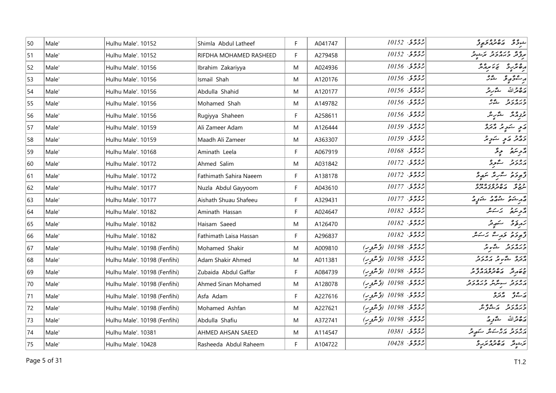| 50 | Male' | Hulhu Male'. 10152           | Shimla Abdul Latheef   | F         | A041747 | 10152.552                      | شوڅرق پره ده د پور                                   |
|----|-------|------------------------------|------------------------|-----------|---------|--------------------------------|------------------------------------------------------|
| 51 | Male' | Hulhu Male'. 10152           | RIFDHA MOHAMED RASHEED | F         | A279458 | 10152.552                      | بروتر وبرورو برجير                                   |
| 52 | Male' | Hulhu Male'. 10156           | Ibrahim Zakariyya      | M         | A024936 | 10156.533                      | תפתוב זיתהת                                          |
| 53 | Male' | Hulhu Male'. 10156           | Ismail Shah            | M         | A120176 | $10156.$ 532                   | أراحتم ومحمد المحمد                                  |
| 54 | Male' | Hulhu Male'. 10156           | Abdulla Shahid         | M         | A120177 | $10156.$ \$\$\$2               | أرَدْ مَرَ اللّه شَرَىرَ                             |
| 55 | Male' | Hulhu Male'. 10156           | Mohamed Shah           | M         | A149782 | $10156.$ \$\$\$2               | ورەر دەر                                             |
| 56 | Male' | Hulhu Male'. 10156           | Rugiyya Shaheen        | F         | A258611 | 10156.533                      | برتور پر شمس مشر سر                                  |
| 57 | Male' | Hulhu Male'. 10159           | Ali Zameer Adam        | ${\sf M}$ | A126444 | 10159.532                      | أريمي الشمي بمراكز وترادها                           |
| 58 | Male' | Hulhu Male'. 10159           | Maadh Ali Zameer       | M         | A363307 | $10159.$ $5532$                | دَرُکْرُ کَرِ پِ سَوِیْر                             |
| 59 | Male' | Hulhu Male'. 10168           | Aminath Leela          | F         | A067919 | 10168.552                      | أزوينهم ويؤ                                          |
| 60 | Male' | Hulhu Male'. 10172           | Ahmed Salim            | M         | A031842 | $10172.$ 533                   | أربرو متموو                                          |
| 61 | Male' | Hulhu Male'. 10172           | Fathimath Sahira Naeem | F         | A138178 | $10172.$ 532                   | توجوجو كشربتر لتمدع                                  |
| 62 | Male' | Hulhu Male'. 10177           | Nuzla Abdul Gayyoom    | F         | A043610 | $10177.$ 533                   | ככש גם כם גם מס<br>ייתואי <i>ב</i> אמר <i>וב</i>     |
| 63 | Male' | Hulhu Male'. 10177           | Aishath Shuau Shafeeu  | F         | A329431 | $10177.$ 533                   | أمهر يشكوه الشرمام الشكورة                           |
| 64 | Male' | Hulhu Male'. 10182           | Aminath Hassan         | F         | A024647 | 10182.5533                     | أأروبتهم بركبو                                       |
| 65 | Male' | Hulhu Male'. 10182           | Haisam Saeed           | M         | A126470 | 10182.552                      | تەرشى ئىستىمىز                                       |
| 66 | Male' | Hulhu Male'. 10182           | Fathimath Laisa Hassan | F         | A296837 | 10182.5522                     | توجوجو تورث راكاش                                    |
| 67 | Male' | Hulhu Male'. 10198 (Fenfihi) | Mohamed Shakir         | M         | A009810 | 10198 10198 (تۇشمەپ)           | ورەرو ئەرو                                           |
| 68 | Male' | Hulhu Male'. 10198 (Fenfihi) | Adam Shakir Ahmed      | M         | A011381 | ح دوم 10198 (ۇيمبر)            | أرود الشما والمرواد                                  |
| 69 | Male' | Hulhu Male'. 10198 (Fenfihi) | Zubaida Abdul Gaffar   | F         | A084739 | ار دې دي. 10198 (زشموب)        |                                                      |
| 70 | Male' | Hulhu Male'. 10198 (Fenfihi) | Ahmed Sinan Mohamed    | M         | A128078 | ار دې دي. 10198 (زشموب)        | د ه د و مسترس و د ه د و<br>  د برونډ مسترس و برو ونډ |
| 71 | Male' | Hulhu Male'. 10198 (Fenfihi) | Asfa Adam              | F         | A227616 | 10198 <i>(ۋىتىدى)</i> (ئاھىدى) | كەسبوق كەتىرو                                        |
| 72 | Male' | Hulhu Male'. 10198 (Fenfihi) | Mohamed Ashfan         | M         | A227621 | ح ديجة 10198 (توشوير)          | ورەرو كەشۇش                                          |
| 73 | Male' | Hulhu Male'. 10198 (Fenfihi) | Abdulla Shafiu         | M         | A372741 | $[322]$ 10198 (دَ شَوِب        | رەقىراللە ش <i>ەرق</i>                               |
| 74 | Male' | Hulhu Male'. 10381           | AHMED AHSAN SAEED      | M         | A114547 | 10381.5522                     | ג 2010 גם גם הוא הוא ה                               |
| 75 | Male' | Hulhu Male'. 10428           | Rasheeda Abdul Raheem  | F         | A104722 | 10428.552                      | ر شوتر ده وه د ره<br>برشوتر م <i>ن فرو</i> بربرد     |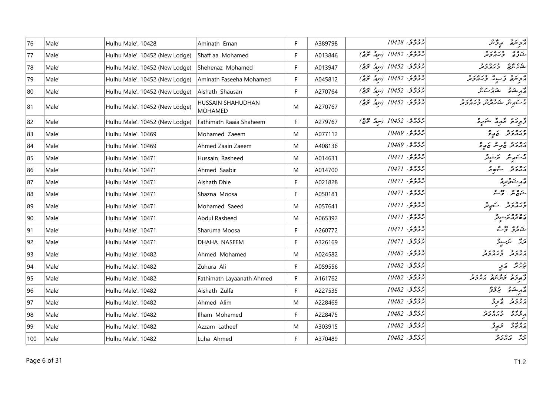| 76           | Male' | Hulhu Male'. 10428             | Aminath Eman                        | F  | A389798 | 10428.552                                                             | أثرجر سنتعر ويتحامله                                                                                                           |
|--------------|-------|--------------------------------|-------------------------------------|----|---------|-----------------------------------------------------------------------|--------------------------------------------------------------------------------------------------------------------------------|
| 77           | Male' | Hulhu Male'. 10452 (New Lodge) | Shaff aa Mohamed                    | F  | A013846 | $\begin{bmatrix} 2 & 3 & 3 \ 6 & 3 & 7 \end{bmatrix}$ $10452$         | أشؤه وره دو                                                                                                                    |
| 78           | Male' | Hulhu Male'. 10452 (New Lodge) | Shehenaz Mohamed                    | F. | A013947 | $\begin{bmatrix} 22 & 22 \\ 32 & 52 \end{bmatrix}$ / الرحمۃ محمد      | ے میں در در د<br>شور س                                                                                                         |
| 79           | Male' | Hulhu Male'. 10452 (New Lodge) | Aminath Faseeha Mohamed             | F. | A045812 | $\begin{bmatrix} 22 & 2 & 10452 \\ 22 & 22 & 10452 \end{bmatrix}$     | أزويته وبالمستحصر وبروير                                                                                                       |
| 80           | Male' | Hulhu Male'. 10452 (New Lodge) | lAishath Shausan                    | F. | A270764 | $\begin{pmatrix} 2 & 3 & 3 \ 6 & 3 & 5 \end{pmatrix}$ / 10452 . حيثي  | قەرشىق شەقرىسىر                                                                                                                |
| 81           | Male' | Hulhu Male'. 10452 (New Lodge) | HUSSAIN SHAHUDHAN<br><b>MOHAMED</b> | M  | A270767 | $\begin{bmatrix} 22 & 32 \\ 4 & 5 \end{bmatrix}$ / 10452 محمد المحمد) |                                                                                                                                |
| 82           | Male' | Hulhu Male'. 10452 (New Lodge) | Fathimath Raaia Shaheem             | F  | A279767 | $\begin{bmatrix} 22 & 2 & 10452 \end{bmatrix}$ لبرمج محمد (سماء 1045) | وتجوحهم محمدة لتكرو                                                                                                            |
| 83           | Male' | Hulhu Male'. 10469             | Mohamed Zaeem                       | M  | A077112 | 10469.5532                                                            |                                                                                                                                |
| 84           | Male' | Hulhu Male'. 10469             | Ahmed Zaain Zaeem                   | M  | A408136 | 10469.5532                                                            |                                                                                                                                |
| 85           | Male' | Hulhu Male'. 10471             | Hussain Rasheed                     | M  | A014631 | $10471.$ 533                                                          | ا چر شمېر سر تم <i>سو</i> ر تر او مختلف می تر او د کار د او بات کار د کار د کار د کار د کار د کار د کار د کار د کار د<br>مراجع |
| 86           | Male' | Hulhu Male'. 10471             | Ahmed Saabir                        | M  | A014700 | $10471.$ 533                                                          | أرەرو بەھەر                                                                                                                    |
| 87           | Male' | Hulhu Male'. 10471             | Aishath Dhie                        | F. | A021828 | $10471.$ 532                                                          | ا پر مرکز تر پر<br>مرکز مرکز مرکز                                                                                              |
| 88           | Male' | Hulhu Male', 10471             | Shazna Moosa                        | F. | A050181 | $10471.$ \$\$32                                                       | شەھ شەرق ئەش                                                                                                                   |
| 89           | Male' | Hulhu Male'. 10471             | Mohamed Saeed                       | M  | A057641 | $10471.$ 533                                                          | ورەرو سەرە                                                                                                                     |
| $ 90\rangle$ | Male' | Hulhu Male'. 10471             | Abdul Rasheed                       | M  | A065392 | $10471.$ 533                                                          | ر ه ۶ و بر شوتر<br>در ه ترو بر شوتر                                                                                            |
| 91           | Male' | Hulhu Male'. 10471             | Sharuma Moosa                       | F  | A260772 | $10471.$ 533                                                          | شەيرى تەرىئە                                                                                                                   |
| 92           | Male' | Hulhu Male'. 10471             | DHAHA NASEEM                        | F. | A326169 | $10471.$ \$\$32                                                       | تەرىخت سىرسورى                                                                                                                 |
| 93           | Male' | Hulhu Male'. 10482             | Ahmed Mohamed                       | M  | A024582 | 10482.5532                                                            | ر ور د در در د                                                                                                                 |
| 94           | Male' | Hulhu Male'. 10482             | Zuhura Ali                          | F  | A059556 | 10482.5532                                                            | ج تر تېژ که تو                                                                                                                 |
| 95           | Male' | Hulhu Male'. 10482             | Fathimath Layaanath Ahmed           | F  | A161762 | 10482.5532                                                            | و د و رورو ره د و                                                                                                              |
| 96           | Male' | Hulhu Male'. 10482             | Aishath Zulfa                       | F. | A227535 | 10482.5532                                                            | و در شکاه ده در د                                                                                                              |
| 97           | Male' | Hulhu Male'. 10482             | Ahmed Alim                          | M  | A228469 | 10482.5532                                                            | دەر د ئەرۋ                                                                                                                     |
| 98           | Male' | Hulhu Male'. 10482             | Ilham Mohamed                       | F  | A228475 | 10482.552                                                             | و رە ر د<br><i>د بر</i> گرىر<br>  پر بخر تر بحر                                                                                |
| 99           | Male' | Hulhu Male'. 10482             | Azzam Latheef                       | M  | A303915 | 10482.552                                                             | 3801<br>ځېږگر                                                                                                                  |
| 100          | Male' | Hulhu Male'. 10482             | Luha Ahmed                          | F  | A370489 | 10482.552                                                             | وو ده دو                                                                                                                       |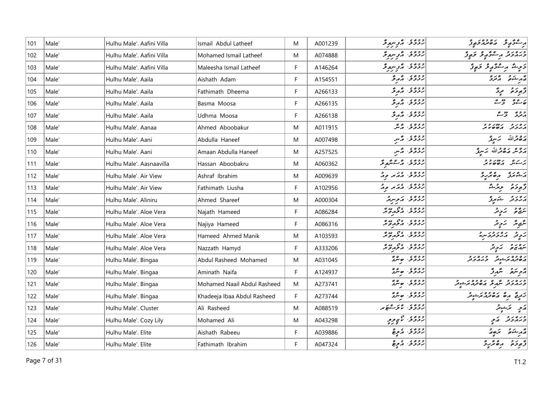| 101 | Male' | Hulhu Male'. Aafini Villa | Ismail Abdul Latheef        | M | A001239 | 22 كى مۇسرە ئۇ                        | ر مؤرو مەمدىكبور                                              |
|-----|-------|---------------------------|-----------------------------|---|---------|---------------------------------------|---------------------------------------------------------------|
| 102 | Male' | Hulhu Male'. Aafini Villa | Mohamed Ismail Latheef      | M | A074888 | <br> رودی مروسور                      | وبرەر د مەمەم ئەر                                             |
| 103 | Male' | Hulhu Male'. Aafini Villa | Maleesha Ismail Latheef     | F | A146264 | رودی پروسروځه                         | دَرِيدٌ بِرِيدُوْ وَبِرِيْرِ وَبِرِيْرِ                       |
| 104 | Male' | Hulhu Male'. Aaila        | Aishath Adam                | F | A154551 | رووي. د پرځ                           | و در دره<br>مگر شوه مگرو                                      |
| 105 | Male' | Hulhu Male'. Aaila        | Fathimath Dheema            | F | A266133 | رودي په پو                            | وً بو د و مړیځ                                                |
| 106 | Male' | Hulhu Male'. Aaila        | Basma Moosa                 | F | A266135 | وووي. <sub>م</sub> مهرگ               | دو مح<br>ەشۇ                                                  |
| 107 | Male' | Hulhu Male'. Aaila        | Udhma Moosa                 | F | A266138 | رووي. دېږي                            | ووه ووث                                                       |
| 108 | Male' | Hulhu Male'. Aanaa        | Ahmed Aboobakur             | M | A011915 | و و ه ې په مختنگ                      | 22 1 33 1<br>J 4 6 6 1<br>برور و                              |
| 109 | Male' | Hulhu Male'. Aani         | Abdulla Haneef              | M | A007498 | رووي پړس                              | رە داللە ئەيدىم                                               |
| 110 | Male' | Hulhu Male'. Aani         | Amaan Abdulla Haneef        | M | A257525 | ر د دي.<br>رندگر گرس                  | برؤه برة قرالله برسور                                         |
| 111 | Male' | Hulhu Male'. Aasnaavilla  | Hassan Aboobakru            | M | A060362 | د د د ، .<br>ررد د د                  |                                                               |
| 112 | Male' | Hulhu Male'. Air View     | Ashraf Ibrahim              | M | A009639 | ככשי ההיג פה                          | ەھ ترىرى<br>ېر شه ترو                                         |
| 113 | Male' | Hulhu Male'. Air View     | Fathimath Liusha            | F | A102956 | وووي الممريح المحمد المحمد            | أواوحو وارشة                                                  |
| 114 | Male' | Hulhu Male'. Aliniru      | Ahmed Shareef               | M | A000304 | ر دوری بروبربر                        | پرور د سکھیں د                                                |
| 115 | Male' | Hulhu Male'. Aloe Vera    | Najath Hameed               | F | A086284 | ככשי היפה שיי<br>היכילי היכה פיק      | يَدَهُمْ = يَرَوِيْرُ                                         |
| 116 | Male' | Hulhu Male'. Aloe Vera    | Najiya Hameed               | F | A086316 | وووی ده مه په د                       | شَّهِرٌ يَرْدِيْرُ                                            |
| 117 | Male' | Hulhu Male'. Aloe Vera    | Hameed Ahmed Manik          | M | A103593 | ככבי הכתפת<br>היכלי הימפת             | بروته مهاد وروسر                                              |
| 118 | Male' | Hulhu Male'. Aloe Vera    | Nazzath Hamyd               | F | A333206 | ככבי הכנים.<br>היכילי היכנים ה        | أنترم نجاحه بالمحمد والمر                                     |
| 119 | Male' | Hulhu Male'. Bingaa       | Abdul Rasheed Mohamed       | M | A031045 | و و دی.<br>رنوبو د صنور               | ر 2000 - 2000 000<br>גיש <i>נג א</i> לייבינגר - 2000 נג<br>גי |
| 120 | Male' | Hulhu Male'. Bingaa       | Aminath Naifa               | F | A124937 | و و دی.<br>رنوبو به صری               | ړې سرو شمېر تر                                                |
| 121 | Male' | Hulhu Male'. Bingaa       | Mohamed Naail Abdul Rasheed | M | A273741 | و و دی.<br>رنونو د صنرلی              | ورەرو شرق رەوە پرىشوتر                                        |
| 122 | Male' | Hulhu Male'. Bingaa       | Khadeeja Ibaa Abdul Rasheed | F | A273744 | ر د دي.<br>رندگر د ه سر <sub>ند</sub> | تكريع أركا والمعادم والمستوفر                                 |
| 123 | Male' | Hulhu Male'. Cluster      | Ali Rasheed                 | M | A088519 | ووەي ھۆرھەر<br><i>رىۋ</i> ۇ ئابۇسىۋە  | ړکو پرکسونر                                                   |
| 124 | Male' | Hulhu Male'. Cozy Lily    | Mohamed Ali                 | M | A043298 | د دوي هم پرې                          | ورەرو كەير                                                    |
| 125 | Male' | Hulhu Male'. Elite        | Aishath Rabeeu              | F | A039886 | رووي. دُبِرِمْ                        | و مر شو د<br>م<br>برّەر                                       |
| 126 | Male' | Hulhu Male'. Elite        | Fathimath Ibrahim           | F | A047324 | رووي کامرچ                            | توجدة مقترع                                                   |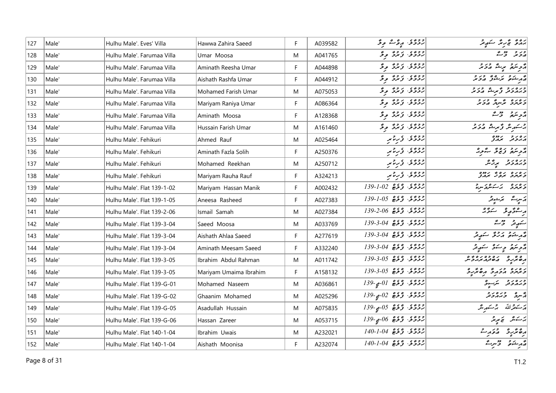| 127 | Male' | Hulhu Male'. Eves' Villa   | Hawwa Zahira Saeed     | F           | A039582 | رودی روی وی                                                    | پروژ پچ ریژ سکھیے                |
|-----|-------|----------------------------|------------------------|-------------|---------|----------------------------------------------------------------|----------------------------------|
| 128 | Male' | Hulhu Male'. Farumaa Villa | Umar Moosa             | M           | A041765 | رژۇي رومۇ ئۇ                                                   | 23 22                            |
| 129 | Male' | Hulhu Male'. Farumaa Villa | Aminath Reesha Umar    | F           | A044898 | دوه ی در ده وگ                                                 | أأد برو بريئة الأدبر             |
| 130 | Male' | Hulhu Male'. Farumaa Villa | Aishath Rashfa Umar    | F.          | A044912 | دوه ی دروه گرگی                                                | و ديگر د مرکز د در د             |
| 131 | Male' | Hulhu Male'. Farumaa Villa | Mohamed Farish Umar    | M           | A075053 | رووي. زروه ارتز                                                | ورەرو ئېرىش درو                  |
| 132 | Male' | Hulhu Male'. Farumaa Villa | Mariyam Raniya Umar    | F           | A086364 | وودی رود وتر                                                   | במתכ מיטת בנג                    |
| 133 | Male' | Hulhu Male'. Farumaa Villa | Aminath Moosa          | F           | A128368 | رودي. زرو وتر                                                  | ړې شهر وحت                       |
| 134 | Male' | Hulhu Male'. Farumaa Villa | Hussain Farish Umar    | M           | A161460 | رژۇي روم مۇ                                                    | پرستهرینگ ویکی در دیگر           |
| 135 | Male' | Hulhu Male'. Fehikuri      | Ahmed Rauf             | M           | A025464 | رودی ڈریڈ ہر                                                   | ر ہ ر دد ہ<br>גرونر مردو         |
| 136 | Male' | Hulhu Male'. Fehikuri      | Aminath Fazla Solih    | F           | A250376 | رودی، ڈریٹمبر                                                  | أروسه زءؤ بدور                   |
| 137 | Male' | Hulhu Male'. Fehikuri      | Mohamed Reekhan        | M           | A250712 | رحوحة وكريمبر                                                  | دره ر د پرگه                     |
| 138 | Male' | Hulhu Male'. Fehikuri      | Mariyam Rauha Rauf     | F           | A324213 | د د د ، و ر ر امر<br>  ر ر د د ر ر امر                         | ג סגם גם 2 גדום<br>כמחב מפני מגצ |
| 139 | Male' | Hulhu Male'. Flat 139-1-02 | Mariyam Hassan Manik   | F.          | A002432 | $139 - 1 - 02$ $22 - 22$                                       | במתכ גבותביתי                    |
| 140 | Male' | Hulhu Male'. Flat 139-1-05 | Aneesa Rasheed         | $\mathsf F$ | A027383 | $139 - 1 - 05$ $22 - 22$                                       | كاسريسته الكرسفوند               |
| 141 | Male' | Hulhu Male'. Flat 139-2-06 | Ismail Samah           | M           | A027384 | $139 - 2 - 06$ وَوَصَعَ $06 - 2$                               | وستورو سنور                      |
| 142 | Male' | Hulhu Male'. Flat 139-3-04 | Saeed Moosa            | M           | A033769 | $139 - 3 - 04$ $22.$ $33.2$                                    | سەر بۇ تەس                       |
| 143 | Male' | Hulhu Male'. Flat 139-3-04 | Aishath Ahlaa Saeed    | F.          | A277619 | $139 - 3 - 04$ $22.$ $33.2$                                    | أقهر يشوهي وكرقى كتورير          |
| 144 | Male' | Hulhu Male'. Flat 139-3-04 | Aminath Meesam Saeed   | F           | A332240 | $139 - 3 - 04$ $22 - 32$                                       | أأدمره وباده المنهار             |
| 145 | Male' | Hulhu Male'. Flat 139-3-05 | Ibrahim Abdul Rahman   | M           | A011742 | $139 - 3 - 05$ $22$ $32$                                       | ره محرر ده ده ده ده و            |
| 146 | Male' | Hulhu Male'. Flat 139-3-05 | Mariyam Umaima Ibrahim | F           | A158132 | $139 - 3 - 05$ $22$ $32$                                       | ג בינוב גבגל גם לגם              |
| 147 | Male' | Hulhu Male'. Flat 139-G-01 | Mohamed Naseem         | M           | A036861 | $\left  139 - 01 \right $ د محمد من السمع السمح من السم        | ورەرو شرىدۇ                      |
| 148 | Male' | Hulhu Male'. Flat 139-G-02 | Ghaanim Mohamed        | M           | A025296 | $139 - 02$ وَوَعْ $02$ وِ-139 $-$ 139 مِ $-$ 139 $\frac{1}{2}$ | و دره در در<br>زمرد در دولر      |
| 149 | Male' | Hulhu Male'. Flat 139-G-05 | Asadullah Hussain      | M           | A075835 | $139 - 05$ وَوَى وَوَعْ $-05$ -بِي                             | ىزىكەتراللە برىكەرىر             |
| 150 | Male' | Hulhu Male'. Flat 139-G-06 | Hassan Zareer          | M           | A053715 | $139 - 06$ وَوَى وَمَعْ $66$ -بِي-139                          | يرسكانكرا التجامير يتمر          |
| 151 | Male' | Hulhu Male'. Flat 140-1-04 | Ibrahim Uwais          | M           | A232021 | $140 - 1 - 04$ وَوَصَعْ 140-1                                  | مەھرىرى مەمرى                    |
| 152 | Male' | Hulhu Male'. Flat 140-1-04 | Aishath Moonisa        | F.          | A232074 | $140 - 1 - 04$ $22 - 22$                                       | أقهر شوقو المحسر في              |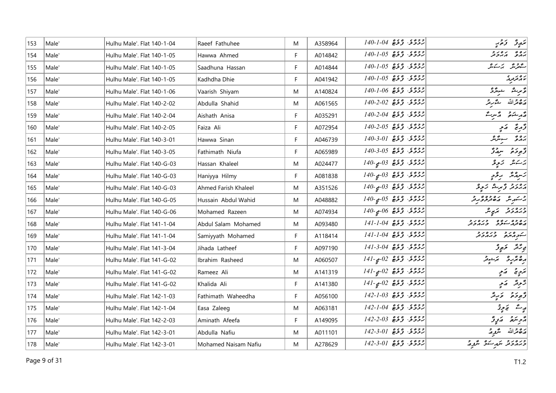| 153 | Male' | Hulhu Male'. Flat 140-1-04 | Raeef Fathuhee              | M         | A358964 | $140 - 1 - 04$ وَوَصَعْ 140-1          | بروو ترقريه                                       |
|-----|-------|----------------------------|-----------------------------|-----------|---------|----------------------------------------|---------------------------------------------------|
| 154 | Male' | Hulhu Male'. Flat 140-1-05 | Hawwa Ahmed                 | F         | A014842 | $140 - 1 - 05$ $22 - 532$              | ره ده درو                                         |
| 155 | Male' | Hulhu Male'. Flat 140-1-05 | Saadhuna Hassan             | F         | A014844 | $140 - 1 - 05$ $22 - 532$              | گەنزىگر كەسكەنلە                                  |
| 156 | Male' | Hulhu Male'. Flat 140-1-05 | Kadhdha Dhie                | F         | A041942 | $140 - 1 - 05$ $22 - 532$              | ئەھرى <i>زەڭ</i>                                  |
| 157 | Male' | Hulhu Male'. Flat 140-1-06 | Vaarish Shiyam              | M         | A140824 | $140 - 1 - 06$ وَوَصَعَ $0.1 - 06$     | قۇمېرىشە<br>شەدگرى                                |
| 158 | Male' | Hulhu Male'. Flat 140-2-02 | Abdulla Shahid              | M         | A061565 | $140 - 2 - 02$ وَوَصَعَ 20-2-140       | أرَدْ مَرَ اللّه شَرْ مِرْ                        |
| 159 | Male' | Hulhu Male'. Flat 140-2-04 | Aishath Anisa               | F         | A035291 | $140-2-04$ $253.2$                     | أقرم شوقو المرسر محسرت                            |
| 160 | Male' | Hulhu Male'. Flat 140-2-05 | Faiza Ali                   | F         | A072954 | $140 - 2 - 05$ وَوَصَعَ 20-2-05        | قرمريح الماحي                                     |
| 161 | Male' | Hulhu Male'. Flat 140-3-01 | Hawwa Sinan                 | F         | A046739 | $140-3-01$ وَوَصَعَ $10-3-01$          | رەپە سەئىر                                        |
| 162 | Male' | Hulhu Male'. Flat 140-3-05 | Fathimath Niufa             | F         | A065989 | $140 - 3 - 05$ وَوَصَعَ 95-140         | و و د مردو                                        |
| 163 | Male' | Hulhu Male'. Flat 140-G-03 | Hassan Khaleel              | M         | A024477 | $140$ -يوگو. ووقع 30-ي $-140$          | پزشکس ترجری                                       |
| 164 | Male' | Hulhu Male'. Flat 140-G-03 | Haniyya Hilmy               | F         | A081838 | $140$ -يوگو. ووقع 30-ي $-140$          | ئەبەئە بەقرە                                      |
| 165 | Male' | Hulhu Male'. Flat 140-G-03 | <b>Ahmed Farish Khaleel</b> | M         | A351526 | $140$ - ج ح ح ح ح ه ح ج -140           | رورو و برے زیرو                                   |
| 166 | Male' | Hulhu Male'. Flat 140-G-05 | Hussain Abdul Wahid         | M         | A048882 | $140$ -يوگو. ووقع $-05$ -ي             | ج ڪريش پره ده ديگر                                |
| 167 | Male' | Hulhu Male'. Flat 140-G-06 | Mohamed Razeen              | M         | A074934 | $140$ -يوگو. ووقع $06$ -يو $-140$      | ورەر دىرىگى ئى                                    |
| 168 | Male' | Hulhu Male'. Flat 141-1-04 | Abdul Salam Mohamed         | M         | A093480 | $141 - 1 - 04$ وَوَصَع 141-1           | גם כם ג'ום - כגם ג'ב<br>ג'סטקג' <del>- כ</del> גב |
| 169 | Male' | Hulhu Male'. Flat 141-1-04 | Samiyyath Mohamed           | F         | A118414 | $141 - 1 - 04$ $22 - 522$              | شومهمو وبره د و                                   |
| 170 | Male' | Hulhu Male'. Flat 141-3-04 | Jihada Latheef              | F         | A097190 | $141 - 3 - 04$ $22 - 532$              | يورَّدَّر کَرَ جو تَرَ                            |
| 171 | Male' | Hulhu Male'. Flat 141-G-02 | Ibrahim Rasheed             | M         | A060507 | $141$ - جون وي جون 20- ج $-141$        | رە ئرىر ئىن ئىشىر                                 |
| 172 | Male' | Hulhu Male'. Flat 141-G-02 | Rameez Ali                  | M         | A141319 | $141$ - جون وي جون 20- ج $-141$        | پرَ <sub>حِي</sub> جَمَعٍ                         |
| 173 | Male' | Hulhu Male'. Flat 141-G-02 | Khalida Ali                 | F         | A141380 | $141$ - ج د د و د ه $92$ - ج - $141$   | أرَّحِيثَ الْمَاحِيَّ                             |
| 174 | Male' | Hulhu Male'. Flat 142-1-03 | Fathimath Waheedha          | F         | A056100 | $142 - 1 - 03$ وَوَصَعَ $0.52$         | أزَّبِوحَمْ وَرِيْدًا                             |
| 175 | Male' | Hulhu Male'. Flat 142-1-04 | Easa Zaleeg                 | M         | A063181 | $142 - 1 - 04$ وَوَصَع 142-1           | ار مستقب سي پيچ تو                                |
| 176 | Male' | Hulhu Male'. Flat 142-2-03 | Aminath Afeefa              | F         | A149095 | $142 - 2 - 03$ وَوَصَعَ $2 - 2 - 03$   | أأترجم أأترقر                                     |
| 177 | Male' | Hulhu Male'. Flat 142-3-01 | Abdulla Nafiu               | M         | A011101 | $142 - 3 - 01$ وَوَصَعَ $142 - 3 - 01$ | 200 لله سمَّعِهِ                                  |
| 178 | Male' | Hulhu Male'. Flat 142-3-01 | Mohamed Naisam Nafiu        | ${\sf M}$ | A278629 | $142 - 3 - 01$ $22 - 3 - 2$            | ورەرو سر رە شرق                                   |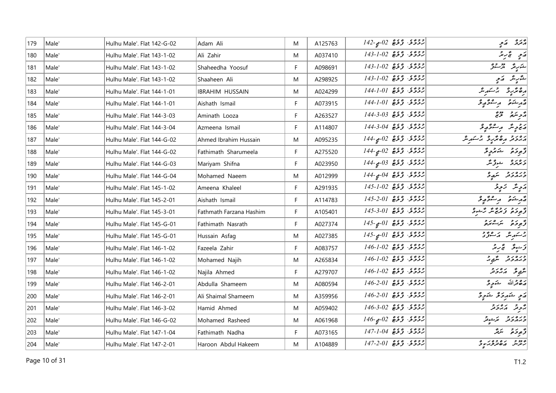| 179 | Male' | Hulhu Male'. Flat 142-G-02 | Adam Ali                | M           | A125763 | $142$ - ج $-02$ وَكَرْهِ $9$ - ج         | أرتمرو أربح                        |
|-----|-------|----------------------------|-------------------------|-------------|---------|------------------------------------------|------------------------------------|
| 180 | Male' | Hulhu Male'. Flat 143-1-02 | Ali Zahir               | M           | A037410 | $143 - 1 - 02$ وَوَصَعَ $02 - 1 - 1$     | مَيْسِ مِحْرِ مِرْ                 |
| 181 | Male' | Hulhu Male'. Flat 143-1-02 | Shaheedha Yoosuf        | $\mathsf F$ | A098691 | $143 - 1 - 02$ $22 - 22 - 12$            | دد و ه<br>در سور<br>ے کم رنگر<br>خ |
| 182 | Male' | Hulhu Male'. Flat 143-1-02 | Shaaheen Ali            | M           | A298925 | $143 - 1 - 02$ $22 - 22 - 12$            | ڪريش کي په                         |
| 183 | Male' | Hulhu Male'. Flat 144-1-01 | <b>IBRAHIM HUSSAIN</b>  | M           | A024299 | $144 - 1 - 01$ وَوَى $25.2$              | مەھترىرى بر شىر ش                  |
| 184 | Male' | Hulhu Male'. Flat 144-1-01 | Aishath Ismail          | F.          | A073915 | $144 - 1 - 01$ وَوَصَعَ $10 - 1 - 14$    | لصمر ينسوهم<br>ى سەئۇم بۇ          |
| 185 | Male' | Hulhu Male'. Flat 144-3-03 | Aminath Looza           | F           | A263527 | $144 - 3 - 03$ وَوَصَعَ $03 - 144$       | ړ ده دوه                           |
| 186 | Male' | Hulhu Male'. Flat 144-3-04 | Azmeena Ismail          | $\mathsf F$ | A114807 | $144 - 3 - 04$ وَوَصَع 04-3-144          | ەيئې ھەر ئەھم                      |
| 187 | Male' | Hulhu Male'. Flat 144-G-02 | Ahmed Ibrahim Hussain   | M           | A095235 | $144$ - ج د د و د و و 2 $-144$           | رەرد رەپزىر ئەسكەش                 |
| 188 | Male' | Hulhu Male'. Flat 144-G-02 | Fathimath Sharumeela    | F.          | A275520 | $144$ - ج ج ج ج و ع ه $02$ - م ج - $144$ | أزّوجو شكرو و                      |
| 189 | Male' | Hulhu Male'. Flat 144-G-03 | Mariyam Shifna          | F           | A023950 | $144$ - جون وي 3 $-03$ -يو $-144$        | رەرە ھەۋىگە                        |
| 190 | Male' | Hulhu Male'. Flat 144-G-04 | Mohamed Naeem           | M           | A012999 | $144$ - ج $-04$ ج $-25$ جي               | ورەر د شهر                         |
| 191 | Male' | Hulhu Male'. Flat 145-1-02 | Ameena Khaleel          | F.          | A291935 | $145 - 1 - 02$ وَوَصَى $2$ -1-1          | پر چاپ کا کار پایی                 |
| 192 | Male' | Hulhu Male'. Flat 145-2-01 | Aishath Ismail          | $\mathsf F$ | A114783 | $145 - 2 - 01$ $22 - 32$                 | مەيدىنى مەسىر ئەر                  |
| 193 | Male' | Hulhu Male'. Flat 145-3-01 | Fathmath Farzana Hashim | F           | A105401 | $145 - 3 - 01$ $22 - 3 - 2$              | ۇ بەر دىرە ئەر ئەج                 |
| 194 | Male' | Hulhu Male'. Flat 145-G-01 | Fathimath Nasrath       | F           | A027374 | $145$ -يوگر وگري $01$ -يې $-1$           | أوجود مرورد                        |
| 195 | Male' | Hulhu Male'. Flat 145-G-01 | Hussain Asfaq           | M           | A027385 | $145 - 01$ ووی $0.2$ مو -145             | چرىسى كەسىرى                       |
| 196 | Male' | Hulhu Male'. Flat 146-1-02 | Fazeela Zahir           | F           | A083757 | $146 - 1 - 02$ وَوَصَعَ $146 - 1 - 02$   | تۇسىدى ئەنجارىتى                   |
| 197 | Male' | Hulhu Male'. Flat 146-1-02 | Mohamed Najih           | M           | A265834 | $146 - 1 - 02$ وَوَصَعَ 146-1            | ورەر د شهر                         |
| 198 | Male' | Hulhu Male'. Flat 146-1-02 | Najila Ahmed            | $\mathsf F$ | A279707 | $146 - 1 - 02$ $22 - 22 - 1$             | شھوڭ مەددىر                        |
| 199 | Male' | Hulhu Male'. Flat 146-2-01 | Abdulla Shameem         | M           | A080594 | $146 - 2 - 01$ وَوَصَعَ $146 - 2 - 01$   | <b>رُەتراللە خۇرگ</b>              |
| 200 | Male' | Hulhu Male'. Flat 146-2-01 | Ali Shaimal Shameem     | M           | A359956 | $146 - 2 - 01$ وَوَصَعَ $146 - 2 - 01$   |                                    |
| 201 | Male' | Hulhu Male'. Flat 146-3-02 | Hamid Ahmed             | M           | A059402 | $146 - 3 - 02$ $253 - 552$               | پژوند   پروند                      |
| 202 | Male' | Hulhu Male'. Flat 146-G-02 | Mohamed Rasheed         | M           | A061968 | $146$ -يوگر وي 2 $-02$ -ي $-146$         | ورەر و پرَشوِتر                    |
| 203 | Male' | Hulhu Male'. Flat 147-1-04 | Fathimath Nadha         | F           | A073165 | $147 - 1 - 04$ وَوَصَعْ 147-1-04         | قەددە تىق                          |
| 204 | Male' | Hulhu Male'. Flat 147-2-01 | Haroon Abdul Hakeem     | M           | A104889 | $147 - 2 - 01$ $22 - 22$                 | שמי הסיפר הס<br>היביית הסיביביה ב  |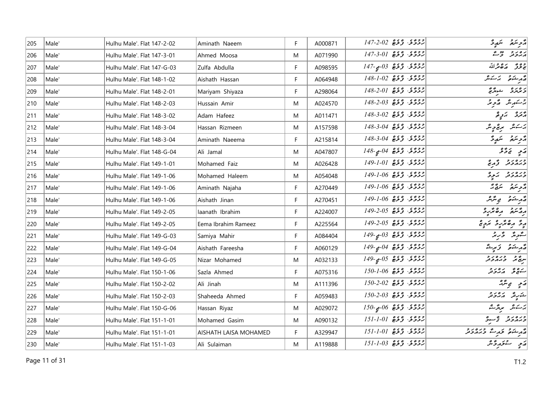| 205 | Male' | Hulhu Male'. Flat 147-2-02 | Aminath Naeem         | F         | A000871 | $147 - 2 - 02$ وَوَصَعَ $2 - 147$      | روسكى سكرو                             |
|-----|-------|----------------------------|-----------------------|-----------|---------|----------------------------------------|----------------------------------------|
| 206 | Male' | Hulhu Male'. Flat 147-3-01 | Ahmed Moosa           | M         | A071990 | $147 - 3 - 01$ $22 - 32$               | أبره دو دوسته                          |
| 207 | Male' | Hulhu Male'. Flat 147-G-03 | Zulfa Abdulla         | F         | A098595 | $147$ -يوڅو: وگونغ 30-ي -147           | ج عرقر   مركز قرالله                   |
| 208 | Male' | Hulhu Male'. Flat 148-1-02 | Aishath Hassan        | F         | A064948 | $148 - 1 - 02$ وَوَصَعَ $-1 - 02$      | أقرم شؤوش بمركب وكالمنا                |
| 209 | Male' | Hulhu Male'. Flat 148-2-01 | Mariyam Shiyaza       | F         | A298064 | $148 - 2 - 01$ وَوَصَى $148 - 2 - 01$  | رەرە شەپ                               |
| 210 | Male' | Hulhu Male'. Flat 148-2-03 | Hussain Amir          | M         | A024570 | $148 - 2 - 03$ وَوَصَعَ $148 - 2 - 03$ | جستهر شرور محجز محر                    |
| 211 | Male' | Hulhu Male'. Flat 148-3-02 | Adam Hafeez           | M         | A011471 | $148 - 3 - 02$ وَوَصَعْ $02 - 5$       | أرمزو بروه                             |
| 212 | Male' | Hulhu Male'. Flat 148-3-04 | Hassan Rizmeen        | M         | A157598 | $148 - 3 - 04$ $22$ $32$               | پرستمبر سرچ چ پګر                      |
| 213 | Male' | Hulhu Male'. Flat 148-3-04 | Aminath Naeema        | F         | A215814 | $148 - 3 - 04$ $22$ $32$               | أأترجم للمتمار                         |
| 214 | Male' | Hulhu Male'. Flat 148-G-04 | Ali Jamal             | M         | A047807 | $148 - 04$ حِمْدَة حَمْدِ $148 - 04$   | پَر پِن کا پای کا کا کا م              |
| 215 | Male' | Hulhu Male'. Flat 149-1-01 | Mohamed Faiz          | M         | A026428 | $149 - 1 - 01$ وَوَصَعَ $1 - 1 - 1$    | ورەر د ۋر                              |
| 216 | Male' | Hulhu Male'. Flat 149-1-06 | Mohamed Haleem        | M         | A054048 | $149 - 1 - 06$ وَوَصَعَ $-149$         | ورەر دىرو                              |
| 217 | Male' | Hulhu Male'. Flat 149-1-06 | Aminath Najaha        | F         | A270449 | $149 - 1 - 06$ وَوَصَعَ $-149$         | أأترجم أترامي                          |
| 218 | Male' | Hulhu Male'. Flat 149-1-06 | Aishath Jinan         | F         | A270451 | $149 - 1 - 06$ وَوَصَعَ $-149$         | أمر شكوم المحمد سريد المحمد المحمد الم |
| 219 | Male' | Hulhu Male'. Flat 149-2-05 | laanath Ibrahim       | F         | A224007 | $149 - 2 - 05$ $253$                   | مقترح مقترح                            |
| 220 | Male' | Hulhu Male'. Flat 149-2-05 | Eema Ibrahim Rameez   | F         | A225564 | $149 - 2 - 05$ وَوَصَعَ 20-2-149       | أردم وه مردم مردم                      |
| 221 | Male' | Hulhu Male'. Flat 149-G-03 | Samiya Mahir          | F         | A084404 | $149$ - ج ج ح ح ح ه $63$ - ج -149      | ستمریز الخرابز                         |
| 222 | Male' | Hulhu Male'. Flat 149-G-04 | Aishath Fareesha      | F         | A060129 | $149$ -يو دي هو 149-ي $-149$           | أقهر مشكاته وكالمرسط                   |
| 223 | Male' | Hulhu Male'. Flat 149-G-05 | Nizar Mohamed         | M         | A032133 | $149$ - جونجو. ووقع 95- ج $-149$       | مرحمد 1999 م                           |
| 224 | Male' | Hulhu Male'. Flat 150-1-06 | Sazla Ahmed           | F         | A075316 | $150 - 1 - 06$ وَوَصَعَ $-1 - 06$      | سەنج ئەرگەرد                           |
| 225 | Male' | Hulhu Male'. Flat 150-2-02 | Ali Jinah             | M         | A111396 | $150 - 2 - 02$ وَوَصَعَ 20-2           | أقنع ويثمد                             |
| 226 | Male' | Hulhu Male'. Flat 150-2-03 | Shaheeda Ahmed        | F         | A059483 | $150 - 2 - 03$ $253$ .                 | شَرِيعٌ 1975مر                         |
| 227 | Male' | Hulhu Male'. Flat 150-G-06 | Hassan Riyaz          | ${\sf M}$ | A029072 | $150 - 06$ وَذَكَرَ وَذَكَ $45.2$      | پرسەنلەر بىرە ئىشە                     |
| 228 | Male' | Hulhu Male'. Flat 151-1-01 | Mohamed Gasim         | M         | A090132 | $151 - 1 - 01$ وَوَصَعَ $1 - 1 - 1$    | ورەرو ئۆسۈ                             |
| 229 | Male' | Hulhu Male'. Flat 151-1-01 | AISHATH LAISA MOHAMED | F         | A329947 | $151 - 1 - 01$ وَوَصَعَ $1 - 1 - 1$    | أشهر شنعى تحمد ستم وبرور و             |
| 230 | Male' | Hulhu Male'. Flat 151-1-03 | Ali Sulaiman          | M         | A119888 | $151 - 1 - 03$ $22 - 532$              | أەيج سىخەرچىگە                         |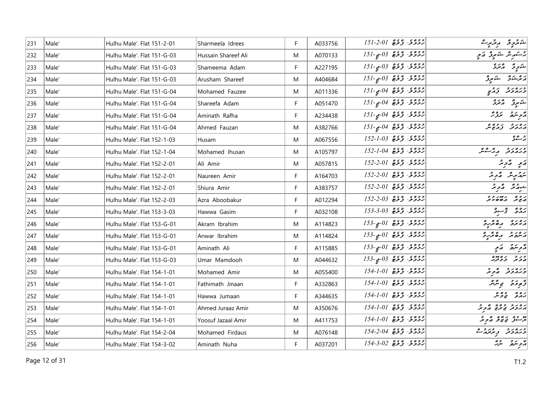| 231 | Male' | Hulhu Male'. Flat 151-2-01 | Sharmeela Idrees    | F           | A033756 | $151 - 2 - 01$ وَوَصَعَ $151 - 2 - 01$        | شەترىپە ئەرترىپە شە     |
|-----|-------|----------------------------|---------------------|-------------|---------|-----------------------------------------------|-------------------------|
| 232 | Male' | Hulhu Male'. Flat 151-G-03 | Hussain Shareef Ali | M           | A070133 | $151 - 03$ وَوَى $03$ -يې- $151$              | 2سەر ھەسەر ئەر          |
| 233 | Male' | Hulhu Male'. Flat 151-G-03 | Shameema Adam       | $\mathsf F$ | A227195 | $151 - 03$ وَوَى $2$ $-151$                   | شَرَوِرَ " ارْ ترو      |
| 234 | Male' | Hulhu Male'. Flat 151-G-03 | Arusham Shareef     | M           | A404684 | $151 - 03$ وَوَى $03$ -يې- $151$              | أرجرخانى المتوبوقى      |
| 235 | Male' | Hulhu Male'. Flat 151-G-04 | Mohamed Fauzee      | M           | A011336 | $151 - 04$ وَوَصَ $64$ -مِي- $151$            | ورەر در د               |
| 236 | Male' | Hulhu Male'. Flat 151-G-04 | Shareefa Adam       | $\mathsf F$ | A051470 | $151 - 04$ وَوَعْ $04$ -يو- $151$             | شەمرۇ گەندۇ             |
| 237 | Male' | Hulhu Male'. Flat 151-G-04 | Aminath Rafha       | F           | A234438 | $151 - 04$ ووق $-04$                          | أرمح سرور المرور        |
| 238 | Male' | Hulhu Male'. Flat 151-G-04 | Ahmed Fauzan        | M           | A382766 | $151$ -يوگو. وڏھ <sub>19</sub> -94-ي          | رەرد ردەھ               |
| 239 | Male' | Hulhu Male'. Flat 152-1-03 | Husam               | M           | A067556 | $152 - 1 - 03$ وَوَصَعَ $152 - 1 - 03$        | برُستَو                 |
| 240 | Male' | Hulhu Male'. Flat 152-1-04 | Mohamed Ihusan      | M           | A105797 | $152 - 1 - 04$ وَوَصَع 152-1                  | ورەرو مەشكە             |
| 241 | Male' | Hulhu Male'. Flat 152-2-01 | Ali Amir            | M           | A057815 | $152 - 2 - 01$ $22 - 2 - 52$                  | أمدموا المروجر          |
| 242 | Male' | Hulhu Male'. Flat 152-2-01 | Naureen Amir        | F           | A164703 | $152 - 2 - 01$ وَوَصَعَ $152 - 2 - 01$        | يتدموينر - مركز م       |
| 243 | Male' | Hulhu Male'. Flat 152-2-01 | Shiura Amir         | F           | A383757 | $152 - 2 - 01$ وَوَصَعَ $152 - 2 - 01$        |                         |
| 244 | Male' | Hulhu Male'. Flat 152-2-03 | Azra Aboobakur      | F           | A012294 | $152 - 2 - 03$ وَقَرْحَ $2 - 2 - 03$          | ג בי גדוני בי           |
| 245 | Male' | Hulhu Male'. Flat 153-3-03 | Hawwa Gasim         | F           | A032108 | $153 - 3 - 03$ $253 - 3 - 2$                  | برەپ تۇسىۋ              |
| 246 | Male' | Hulhu Male'. Flat 153-G-01 | Akram Ibrahim       | M           | A114823 | $153 - 01$ وَوَى $2$                          | גם גם השתנים            |
| 247 | Male' | Hulhu Male'. Flat 153-G-01 | Anwar Ibrahim       | M           | A114824 | $153 - 01$ وَوَى $2$                          | أرەر دە ئەرە            |
| 248 | Male' | Hulhu Male'. Flat 153-G-01 | Aminath Ali         | F           | A115885 | $153 - 01$ وَوَى $253$ $-153 - 1$             | أرمحه سنتمو أأتمني      |
| 249 | Male' | Hulhu Male'. Flat 153-G-03 | Umar Mamdooh        | M           | A044632 | $153 - 03$ وَمَعْ $03 - 03$ وَمَعْ $03 - 153$ | כנכ נסכבם<br>הכיני בכנג |
| 250 | Male' | Hulhu Male'. Flat 154-1-01 | Mohamed Amir        | M           | A055400 | $154 - 1 - 01$ وَوَصَعَ $154 - 1 - 1$         | ورەر دۇر                |
| 251 | Male' | Hulhu Male'. Flat 154-1-01 | Fathimath Jinaan    | F           | A332863 | $154 - 1 - 01$ وَوَصَعَ $154 - 1 - 1$         | توجو حقم میں تر تکریفر  |
| 252 | Male' | Hulhu Male'. Flat 154-1-01 | Hawwa Jumaan        | F           | A344635 | $154 - 1 - 01$ $223 - 532$                    | ره د دوه.               |
| 253 | Male' | Hulhu Male'. Flat 154-1-01 | Ahmed Juraaz Amir   | M           | A350676 | $154 - 1 - 01$ وَوَصَعَ $154 - 1 - 1$         | رورد دوه ورد            |
| 254 | Male' | Hulhu Male'. Flat 154-1-01 | Yoosuf Jazaal Amir  | M           | A411753 | $154 - 1 - 01$ وَوَصَعَ $154 - 1 - 1$         | ת כם ג'וב לקב           |
| 255 | Male' | Hulhu Male'. Flat 154-2-04 | Mohamed Firdaus     | M           | A076148 | $154 - 2 - 04$ وَوَصَع $154 - 2 - 04$         | ورەرو پەيرور            |
| 256 | Male' | Hulhu Male'. Flat 154-3-02 | Aminath Nuha        | F           | A037201 | $154 - 3 - 02$ $22 - 532$                     | أأروسه المراثر          |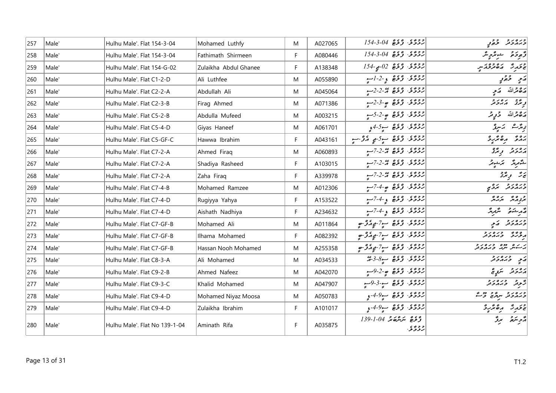| 257 | Male' | Hulhu Male'. Flat 154-3-04    | Mohamed Luthfy        | M         | A027065 | $154 - 3 - 04$ $22 - 3$                                                                                         | وره رو و و و<br>  وبر پروتر بمحبوبي                                                                  |
|-----|-------|-------------------------------|-----------------------|-----------|---------|-----------------------------------------------------------------------------------------------------------------|------------------------------------------------------------------------------------------------------|
| 258 | Male' | Hulhu Male'. Flat 154-3-04    | Fathimath Shirmeen    | F         | A080446 | $154 - 3 - 04$ $22$ $32$                                                                                        | أزُبورَهُ شرعروٍ مَرْ                                                                                |
| 259 | Male' | Hulhu Male'. Flat 154-G-02    | Zulaikha Abdul Ghanee | F         | A138348 | $154$ - ووي. ووي $-02$ -ي -154                                                                                  | ح يحمد شهر المعاملة المحمد المحمد المحمد المحمد المحمد المحمد المحمد المحمد المحمد المحمد المحمد الم |
| 260 | Male' | Hulhu Male'. Flat C1-2-D      | Ali Luthfee           | M         | A055890 | $\left  \begin{array}{cc} -2 & 2 & 2 & 2 \ -2 & 2 & 3 & 1 \ \end{array} \right $                                | أماسي المحاجري                                                                                       |
| 261 | Male' | Hulhu Male'. Flat C2-2-A      | Abdullah Ali          | M         | A045064 | ر دوي وي و 2-2-2 ب                                                                                              | رە ئەللە كەي                                                                                         |
| 262 | Male' | Hulhu Male'. Flat C2-3-B      | Firag Ahmed           | ${\sf M}$ | A071386 | $\sim$ 2-3-g g $\approx$ 32-2-g                                                                                 | دِ ټَرَّ تَهُ بَرَ دَ تَرَ                                                                           |
| 263 | Male' | Hulhu Male'. Flat C5-2-B      | Abdulla Mufeed        | M         | A003215 | دووی وی ه -2-5 ک                                                                                                | پره ترالله څوپه                                                                                      |
| 264 | Male' | Hulhu Male'. Flat C5-4-D      | Giyas Haneef          | M         | A061701 | $\left  \begin{array}{cc} 2.2 & 2.2 \\ -2.2 & 2.2 \end{array} \right $                                          | توپژے پرسوژ                                                                                          |
| 265 | Male' | Hulhu Male'. Flat C5-GF-C     | Hawwa Ibrahim         | F         | A043161 | رودو. ووق سودي كاوسي                                                                                            |                                                                                                      |
| 266 | Male' | Hulhu Male'. Flat C7-2-A      | Ahmed Firaq           | M         | A060893 | دوږي. ووه په 2-7-7پ                                                                                             | پروتر پیڅو                                                                                           |
| 267 | Male' | Hulhu Male'. Flat C7-2-A      | Shadiya Rasheed       | F         | A103015 | دووي   وي ھ 2-2-7 سو                                                                                            | شگورگر - مَرَشونْر                                                                                   |
| 268 | Male' | Hulhu Male'. Flat C7-2-A      | Zaha Firaq            | F         | A339978 | رووي وءه پر-2-7پ                                                                                                | لى ئەستىقى ئەرەپتى                                                                                   |
| 269 | Male' | Hulhu Male'. Flat C7-4-B      | Mohamed Ramzee        | M         | A012306 | دووي ويء ۾-4-7ب                                                                                                 | ورەر دەر                                                                                             |
| 270 | Male' | Hulhu Male'. Flat C7-4-D      | Rugiyya Yahya         | F         | A153522 | دووي ووه و-4-7 ب                                                                                                | כ ס מ מסיי.<br>מצומת תמת                                                                             |
| 271 | Male' | Hulhu Male'. Flat C7-4-D      | Aishath Nadhiya       | F         | A234632 | دووي وي و -4-7 سو                                                                                               | ەگەر شەھ ئىسىرىدىگە                                                                                  |
| 272 | Male' | Hulhu Male'. Flat C7-GF-B     | Mohamed Ali           | M         | A011864 |                                                                                                                 | ورەرو كې                                                                                             |
| 273 | Male' | Hulhu Male'. Flat C7-GF-B     | Ilhama Mohamed        | F         | A082392 | د د د ، د و ، ه ع - د 7 - د ، ه - ه ا                                                                           | ە بە دىرە دىر<br>مەرگە ھەمدى                                                                         |
| 274 | Male' | Hulhu Male'. Flat C7-GF-B     | Hassan Nooh Mohamed   | M         | A255358 | ووړي ووه سو7-يږوژ-ي                                                                                             | بر ہے میں ورور و                                                                                     |
| 275 | Male' | Hulhu Male'. Flat C8-3-A      | Ali Mohamed           | M         | A034533 | $3-8$ $-8$ $-8$ $-8$ $-8$ $-8$ $-8$                                                                             | أوسم وره رد                                                                                          |
| 276 | Male' | Hulhu Male'. Flat C9-2-B      | Ahmed Nafeez          | M         | A042070 | $\left  \begin{array}{cc} -9.2 & 2 & 2 & 2 \ -2 & 2 & 2 & 2 \ \end{array} \right $                              | پروتر سَعِي                                                                                          |
| 277 | Male' | Hulhu Male'. Flat C9-3-C      | Khalid Mohamed        | M         | A047907 | دووي ووه ب-3-9 به                                                                                               | گروتر وبره دو                                                                                        |
| 278 | Male' | Hulhu Male'. Flat C9-4-D      | Mohamed Niyaz Moosa   | M         | A050783 | $\left  \begin{array}{cc} 2.28 & -2.40 & -2.40 \\ -2.5 & 2.40 & 2.40 \\ 0.40 & 0.40 & 0.40 \end{array} \right $ | כממכני ייחד ב-                                                                                       |
| 279 | Male' | Hulhu Male'. Flat C9-4-D      | Zulaikha Ibrahim      | F         | A101017 | $\left  \begin{array}{cc} 2.28 & 2.28 \\ -2.28 & 2.28 \end{array} \right $                                      | جۇمەر مەھمەر                                                                                         |
| 280 | Male' | Hulhu Male'. Flat No 139-1-04 | Aminath Rifa          | F         | A035875 | $139 - 1 - 04$ $222 - 222$<br>و و و ء .<br>رند <del>و</del> نو                                                  | ړګو سرو سرو                                                                                          |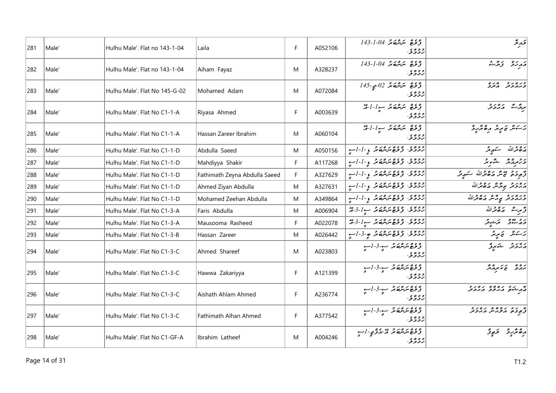| 281 | Male' | Hulhu Male'. Flat no 143-1-04 | Laila                         | F.          | A052106 | $143 - 1 - 04$ $222 - 22$<br>ر و و ء .<br>رند <del>و</del> و .                                                                        | خەرىخە                                             |
|-----|-------|-------------------------------|-------------------------------|-------------|---------|---------------------------------------------------------------------------------------------------------------------------------------|----------------------------------------------------|
| 282 | Male' | Hulhu Male'. Flat no 143-1-04 | Aiham Fayaz                   | M           | A328237 | ووق سەمەد 143-1-43<br>و و و ي.<br>رنونو تو .                                                                                          | مەرىبى<br>تر پڑتے                                  |
| 283 | Male' | Hulhu Male'. Flat No 145-G-02 | Mohamed Adam                  | M           | A072084 | ووه ترت <i>م مقد 12-ي</i> -145<br>333 كى.<br>مرك <b>ر</b> ى                                                                           | وره رو په ده<br>تربر در مرکز                       |
| 284 | Male' | Hulhu Male'. Flat No C1-1-A   | Riyasa Ahmed                  | F           | A003639 | $\frac{1}{2}$ $\frac{1}{2}$ $\frac{1}{2}$ $\frac{1}{2}$ $\frac{1}{2}$ $\frac{1}{2}$ $\frac{1}{2}$<br>ر و و ء .<br>رند <del>و</del> نو | بر 2 ر ح<br>م <i>ر</i> بر <del>5</del> تر<br>بردشه |
| 285 | Male' | Hulhu Male'. Flat No C1-1-A   | Hassan Zareer Ibrahim         | M           | A060104 | وءه مركز في المناسم<br>ر و و د ي.<br>رند <del>و</del> نو                                                                              | برسكش تمرير مرەمگرىر 3                             |
| 286 | Male' | Hulhu Male'. Flat No C1-1-D   | Abdulla Saeed                 | M           | A050156 | ودوی و دوه مرمور و - ا- اب                                                                                                            | أرەقماللە سەرپىر                                   |
| 287 | Male' | Hulhu Male'. Flat No C1-1-D   | Mahdiyya Shakir               | F.          | A117268 | دووی وی مره مرد و- - ب                                                                                                                | وروره وعمار                                        |
| 288 | Male' | Hulhu Male'. Flat No C1-1-D   | Fathimath Zeyna Abdulla Saeed | F.          | A327629 | د دوی وی د مرور د -ا-اب                                                                                                               | و برديد من محافظ الله سكور                         |
| 289 | Male' | Hulhu Male'. Flat No C1-1-D   | Ahmed Ziyan Abdulla           | M           | A327631 | 1933 و 30 مربور كار - 1- 1 سو                                                                                                         | رەرو پەرە دەۋاللە                                  |
| 290 | Male' | Hulhu Male'. Flat No C1-1-D   | Mohamed Zeehan Abdulla        | M           | A349864 | رووي وءه رومړي <sub>و</sub> -ا-اب                                                                                                     | ورەرو يې ئەھ رە دالله                              |
| 291 | Male' | Hulhu Male'. Flat No C1-3-A   | Faris Abdulla                 | M           | A006904 | وووي وءه مرموري مسوالي.<br>سنڌي ويوه مرموري مسوالي                                                                                    | قرسية وكافترالله                                   |
| 292 | Male' | Hulhu Male'. Flat No C1-3-A   | Mausooma Rasheed              | F.          | A022078 | وووي ووه مرەرو بار-3 م                                                                                                                | ر و دوه .<br>ترور بدو . ترجید                      |
| 293 | Male' | Hulhu Male'. Flat No C1-3-B   | Hassan Zareer                 | M           | A026442 | - دووي و وه مرتقص ه-3- <u>1</u> -                                                                                                     | ىرىسەش ئىم يېرىتى                                  |
| 294 | Male' | Hulhu Male'. Flat No C1-3-C   | Ahmed Shareef                 | M           | A023803 | و د کام میں اس کی اسمِ<br>ر و و ء .<br>رند <del>و</del> و .                                                                           | برەر دىمبرو                                        |
| 295 | Male' | Hulhu Male'. Flat No C1-3-C   | Hawwa Zakariyya               | $\mathsf F$ | A121399 | و د کام کام د -3-اب<br>و و و ي.<br>رندگرنگ                                                                                            | גם בי באת הי                                       |
| 296 | Male' | Hulhu Male'. Flat No C1-3-C   | Aishath Ahlam Ahmed           | $\mathsf F$ | A236774 | وده مره مرد -3-اب<br>333 كى.<br>مرك <b>ر</b> ى                                                                                        | ه د شوه ده ده ده د و د                             |
| 297 | Male' | Hulhu Male'. Flat No C1-3-C   | Fathimath Alhan Ahmed         | F           | A377542 | و ، و مروره بر ب-3-اب<br>و و و ي.<br>رنونو تو .                                                                                       | و د د ده وه ده د و.<br>گهچری مرد شرکتر مدر تر      |
| 298 | Male' | Hulhu Male'. Flat No C1-GF-A  | Ibrahim Latheef               | M           | A004246 | 2000 م 2000 مئيس 200<br>تو خريج سرسر 10 - 1000 مئيسي<br>و و و ء .<br>رند <del>و</del> نو                                              | رە ئرىر ئىم ئ                                      |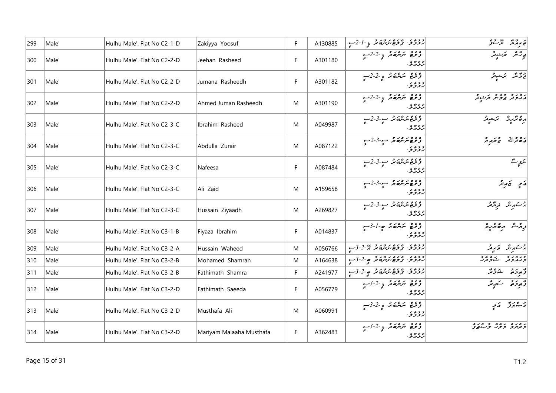| 299           | Male' | Hulhu Male'. Flat No C2-1-D | Zakiyya Yoosuf           | F. | A130885 | دووي وءومروه دي و- -2 پ                                       |                                      |
|---------------|-------|-----------------------------|--------------------------|----|---------|---------------------------------------------------------------|--------------------------------------|
| 300           | Male' | Hulhu Male'. Flat No C2-2-D | Jeehan Rasheed           | F  | A301180 | ودوع مرشقة بالملحمة<br>و و و ء .<br>روو تو .                  |                                      |
| 301           | Male' | Hulhu Male'. Flat No C2-2-D | Jumana Rasheedh          | F. | A301182 | ودوه مركزه و-2-2-<br>و و و ي.<br>رنونونو .                    | و و شر<br>مح گر مرش <sub>و</sub> تر  |
| $ 302\rangle$ | Male' | Hulhu Male'. Flat No C2-2-D | Ahmed Juman Rasheedh     | M  | A301190 | ودو سَرْسُوَ بِهِ -2-2 بِ<br>و و و ي.<br>رندگر                | ره رو وو د کردو                      |
| 303           | Male' | Hulhu Male'. Flat No C2-3-C | Ibrahim Rasheed          | M  | A049987 | $-2 - 3 - 2$<br>و و و ء .<br>رند <del>و</del> نو              | أرە ئۇرۇ بۇيدۇر                      |
| 304           | Male' | Hulhu Male'. Flat No C2-3-C | Abdulla Zurair           | M  | A087122 | ە ، ە برە برو بە -3-2-يە<br>و و و ء .<br>رنو بو تو .          | أرة قرالله تج ترمر تر                |
| 305           | Male' | Hulhu Male'. Flat No C2-3-C | Nafeesa                  | F. | A087484 | و د وړه د د -3-2 په<br>و و و ي.<br>رنونونو .                  | ىئىدېگە                              |
| 306           | Male' | Hulhu Male'. Flat No C2-3-C | Ali Zaid                 | M  | A159658 | و و ح مرمور حسن -3-2 سو<br>و و و ء .<br>رند <del>و</del> نو   | أوسمح والمحمد                        |
| 307           | Male' | Hulhu Male'. Flat No C2-3-C | Hussain Ziyaadh          | M  | A269827 | ە ئوق ھەتتىر ھەتتى سو-2-3 -<br>333 كى.<br>مرك <b>ر</b> ى      | جرستهريش فريزقنه                     |
| 308           | Male' | Hulhu Male'. Flat No C3-1-B | Fiyaza Ibrahim           | F  | A014837 | $-3-1-$ وكروم سكره محدث و-1-3<br>و و و ي.<br>رنونوگو          | وأثرت مقترره                         |
| 309           | Male' | Hulhu Male'. Flat No C3-2-A | Hussain Waheed           | M  | A056766 |                                                               | يزسكوند الحاريثر                     |
| 310           | Male' | Hulhu Male'. Flat No C3-2-B | Mohamed Shamrah          | M  | A164638 | و وړی وی وی ده د حول -2-3 ک                                   |                                      |
| 311           | Male' | Hulhu Male'. Flat No C3-2-B | Fathimath Shamra         | F  | A241977 | د د د ، م ، و ، و ، و ، چ -2-3 پ                              | توجوختم المشوجر                      |
| 312           | Male' | Hulhu Male'. Flat No C3-2-D | Fathimath Saeeda         | F  | A056779 | وده مكره المحدد المستورج والمحصوص<br>و و و ء .<br>رند بر تو . | ژوده شهر                             |
| 313           | Male' | Hulhu Male'. Flat No C3-2-D | Musthafa Ali             | M  | A060991 | $-3-2-2$ $-2$ $-2$ $-2$ $-2$ $-2$<br>و و و ي.<br>رنونوگو      | ومبوو كالمح                          |
| 314           | Male' | Hulhu Male'. Flat No C3-2-D | Mariyam Malaaha Musthafa | F  | A362483 | وده مكره المحدد المستورج والمحصوص<br>و و و ء .<br>رند و تو .  | رەرە رەپ دەرە<br>دىرىرد دىرگ دىبەبور |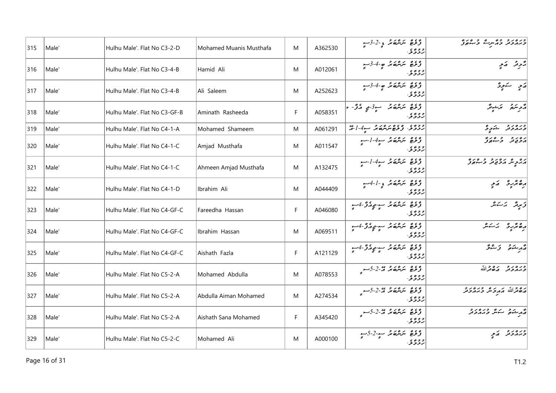| 315 | Male' | Hulhu Male'. Flat No C3-2-D  | Mohamed Muanis Musthafa | M           | A362530 | وتوقع مكره فقيح ويداد والمحمد<br>و و و ي.<br>رندگرنگ                                | ورەرو وەسر كەرەر                                         |
|-----|-------|------------------------------|-------------------------|-------------|---------|-------------------------------------------------------------------------------------|----------------------------------------------------------|
| 316 | Male' | Hulhu Male'. Flat No C3-4-B  | Hamid Ali               | M           | A012061 | 000 - 3-4-0 - 3-4-6<br>و و و ء .<br>رنونونو .                                       | بروتر المتوا                                             |
| 317 | Male' | Hulhu Male'. Flat No C3-4-B  | Ali Saleem              | M           | A252623 | و ده مره مرسم ص-4-3 ب<br>ر و و د ي.<br>رند <del>و</del> نو                          | أريج التنويرة                                            |
| 318 | Male' | Hulhu Male'. Flat No C3-GF-B | Aminath Rasheeda        | $\mathsf F$ | A058351 | وي پرېږي په دي کړو و<br>ح و و ي.<br>رند <del>و</del> نو                             | أأدوبتهم الترشوش                                         |
| 319 | Male' | Hulhu Male'. Flat No C4-1-A  | Mohamed Shameem         | M           | A061291 | 1933 و 2000 مركز مسو4-1-2                                                           | ورەرو شەرو                                               |
| 320 | Male' | Hulhu Male'. Flat No C4-1-C  | Amjad Musthafa          | M           | A011547 | وي مرمض حدا-ا-<br>و و و ء .<br>رنونونو .                                            | رەرد دەرد<br>مەدىر دىبەبور                               |
| 321 | Male' | Hulhu Male'. Flat No C4-1-C  | Ahmeen Amjad Musthafa   | M           | A132475 | ە ئەھ مەھەمگە سو4-ايسو<br>ئوخرى مىز مەھەمگە ئە<br>ر و و د ي.<br>رند <del>و</del> نو | גם כם גם גב כם הדי                                       |
| 322 | Male' | Hulhu Male'. Flat No C4-1-D  | Ibrahim Ali             | M           | A044409 | وءه مركزه بالم-المب<br>ر و و ء .<br>ر د <del>و</del> و .                            | رە ئۈر ئىسى                                              |
| 323 | Male' | Hulhu Male'. Flat No C4-GF-C | Fareedha Hassan         | F.          | A046080 | وده برموړ په د ولې<br>و و و ء .<br>رنونونو .                                        | أقرمية كالكاشر                                           |
| 324 | Male' | Hulhu Male'. Flat No C4-GF-C | Ibrahim Hassan          | M           | A069511 | وءه برمه پر ہونے مگر -4ہو<br>و و و ي.<br>رند و گو.                                  | مەھرىر ئەسكىر                                            |
| 325 | Male' | Hulhu Male'. Flat No C4-GF-C | Aishath Fazla           | F           | A121129 | وءه برمه پر ہے کو 4۔<br>ح و و ي.<br>رند <del>و</del> نو                             | ەر ئەر ئەر ئە                                            |
| 326 | Male' | Hulhu Male'. Flat No C5-2-A  | Mohamed Abdulla         | M           | A078553 | وءه بروير دي-2-5-<br>و و و ي.<br>رنونونو .                                          | ورەرو رەۋاللە                                            |
| 327 | Male' | Hulhu Male'. Flat No C5-2-A  | Abdulla Aiman Mohamed   | M           | A274534 | وءه برموز 2-2-5-<br>ر و و د ي.<br>رند <del>و</del> نو                               | ره و الله محمد در و در در و<br>مصغرالله محمد در در در در |
| 328 | Male' | Hulhu Male'. Flat No C5-2-A  | Aishath Sana Mohamed    | F.          | A345420 | وءه برەيم پر 2-4-5-<br>ر و و د ي.<br>رند <del>و</del> نو                            |                                                          |
| 329 | Male' | Hulhu Male'. Flat No C5-2-C  | Mohamed Ali             | Μ           | A000100 | وي مرمض سو-2-5 سم<br>و و و ء .<br>رند <del>و</del> نو                               | ورەر د كەي                                               |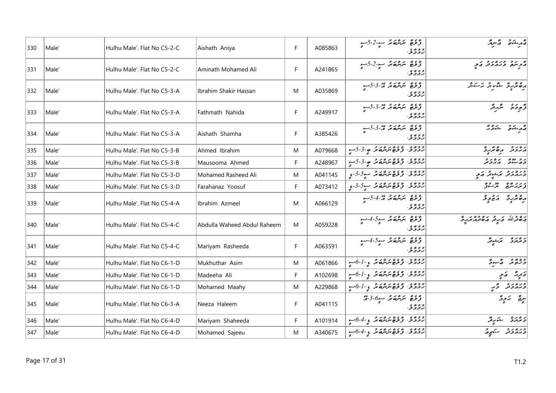| 330 | Male' | Hulhu Male'. Flat No C5-2-C | Aishath Aniya               | F  | A085863 | و د ده مره محمد ب-2-5 ک<br>و و و ء .<br>رند <del>و</del> نو     | مەرشكى مەسىر                                                                                                  |
|-----|-------|-----------------------------|-----------------------------|----|---------|-----------------------------------------------------------------|---------------------------------------------------------------------------------------------------------------|
| 331 | Male' | Hulhu Male'. Flat No C5-2-C | Aminath Mohamed Ali         | F. | A241865 | $-5-2$ -2 $-2$ $-2$ $-2$ $-2$ $-2$<br>ر د و و .<br>رند و تو .   | أأديكم وبره رد أكبح                                                                                           |
| 332 | Male' | Hulhu Male'. Flat No C5-3-A | Ibrahim Shakir Hassan       | M  | A035869 | $5 - 3 - 8$ $-5 - 3 - 8$<br>و و و ي.<br>رنونوگو                 | مەھرىرى شىرىم بەسىر                                                                                           |
| 333 | Male' | Hulhu Male'. Flat No C5-3-A | Fathmath Nahida             | F. | A249917 | و وہ سرمرح میں 3-3-5 ب<br>ر و و ء .<br>رند <del>و</del> و .     | ۇي <sub>ر</sub> وڭ شرىر                                                                                       |
| 334 | Male' | Hulhu Male'. Flat No C5-3-A | Aishath Shamha              | F  | A385426 | 200 مرم د د 200 م كى 3-3 ك<br>ر و و ء .<br>رند <del>و</del> و . | و در در دره در در در کار در کار در کردند که در کردند که در کار در کردند که در کار در کار در کار در کار در کار |
| 335 | Male' | Hulhu Male'. Flat No C5-3-B | Ahmed Ibrahim               | M  | A079668 | ووي وعدد ورور و دي.<br>رندونو، ونوڪس هي ھ-3-5 پ                 | رەرو مەھرىر                                                                                                   |
| 336 | Male' | Hulhu Male'. Flat No C5-3-B | Mausooma Ahmed              | F. | A248967 | و ووی ده وه د ورو د دو -3-5 سو                                  | ני חדש ניטיב<br>בוגייב וגבע                                                                                   |
| 337 | Male' | Hulhu Male'. Flat No C5-3-D | Mohamed Rasheed Ali         | M  | A041145 | وووي وءه بره بروسي سو5-3- <u>و</u>                              | ورەرو برخونز كەم                                                                                              |
| 338 | Male' | Hulhu Male'. Flat No C5-3-D | Farahanaz Yoosuf            | F  | A073412 | و وړی و وه مره مر د سوک-3-و.<br>مرکز و لوه شريع مر              | ر ر ر می می دور<br>و بربر سرچ مرگ                                                                             |
| 339 | Male' | Hulhu Male'. Flat No C5-4-A | Ibrahim Azmeel              | M  | A066129 | 2000 مرمرم 2 4-4-5 ب<br>و و و ي.<br>رنونونو .                   | ג <i>ەنگەد ה</i> לקב                                                                                          |
| 340 | Male' | Hulhu Male'. Flat No C5-4-C | Abdulla Waheed Abdul Raheem | M  | A059228 | وي مركز من المسركة 4- سم<br>و و و ء .<br>رند و تو .             | رە داللە ئەبەتر مەدەبرە                                                                                       |
| 341 | Male' | Hulhu Male'. Flat No C5-4-C | Mariyam Rasheeda            | F. | A063591 | وي مريدة مركز 1-4-ب<br>و و د ي.<br>رنونو تو .                   | رەرە بەشىر                                                                                                    |
| 342 | Male' | Hulhu Male'. Flat No C6-1-D | Mukhuthar Asim              | M  | A061866 | د د د ، و ، و ، د ، د .<br>رندون و نوم سرس په به -ا-6 په        | وه د د کار                                                                                                    |
| 343 | Male' | Hulhu Male'. Flat No C6-1-D | Madeeha Ali                 | F. | A102698 | د د د و د وه د وړه د په -ا-6 په                                 | دَىرِدَّ كەم                                                                                                  |
| 344 | Male' | Hulhu Male'. Flat No C6-1-D | Mohamed Maahy               | M  | A229868 | و ووي و وه و روړ د او د -ا-6 پ                                  |                                                                                                               |
| 345 | Male' | Hulhu Male'. Flat No C6-3-A | Neeza Haleem                | F. | A041115 | ووه ترتزه تمر ب13-6 م<br>ر و و ء .<br>رند <del>و</del> و .      | سرچ ټر دو                                                                                                     |
| 346 | Male' | Hulhu Male'. Flat No C6-4-D | Mariyam Shaheeda            | F. | A101914 | وووي وعود ورور و -4-6 سر<br>پروگر وکوھ مرمزماند و -4-6 سر       | رەرە شەرى <i>گ</i> ە<br><i>دىن</i> ەر شەرىگە                                                                  |
| 347 | Male' | Hulhu Male'. Flat No C6-4-D | Mohamed Sajeeu              | M  | A340675 | وووي وءه بره دي.<br>  برنزگر و گرم سرپرت پر پا-4-6 پ            | ورەر دېم سەي                                                                                                  |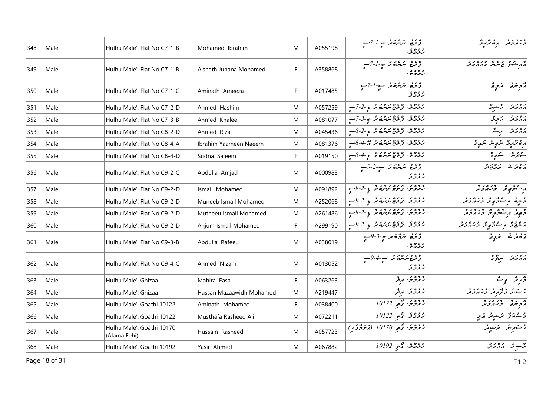| 348 | Male' | Hulhu Male'. Flat No C7-1-B               | Mohamed Ibrahim          | M           | A055198 | وي مركز ص-1-7ب<br>د د د ،<br>رندگرنگ                      | ورەرو مەھرىر                                      |
|-----|-------|-------------------------------------------|--------------------------|-------------|---------|-----------------------------------------------------------|---------------------------------------------------|
| 349 | Male' | Hulhu Male'. Flat No C7-1-B               | Aishath Junana Mohamed   | $\mathsf F$ | A358868 | $-7-1-8$ $-200$ $-80$<br>و و و ء .<br>رند <del>و</del> نو | ه در در دره در ۲۶۵۰۶<br>مارستوی مخ شرس و بر در در |
| 350 | Male' | Hulhu Male'. Flat No C7-1-C               | Aminath Ameeza           | F.          | A017485 | ووه يرتفع ب-ا-7ب<br>و و و ء .<br>رند <del>و</del> نو .    | ړې سره پرېږي                                      |
| 351 | Male' | Hulhu Male'. Flat No C7-2-D               | Ahmed Hashim             | M           | A057259 | وووي وووم دەرو د-7-7-                                     | رەرد گىشەۋ                                        |
| 352 | Male' | Hulhu Male'. Flat No C7-3-B               | Ahmed Khaleel            | M           | A081077 | د د د ، م ه ه ه ه د م د چې په 3-7-7 پ                     | رەر ئىچى                                          |
| 353 | Male' | Hulhu Male'. Flat No C8-2-D               | Ahmed Riza               | M           | A045436 | 322 - 329 كرمۇم بې -2-8 -                                 | رەر ئەرشى                                         |
| 354 | Male' | Hulhu Male'. Flat No C8-4-A               | Ibrahim Yaameen Naeem    | M           | A081376 | 322 - 329 مربور 2 2-4-8 -                                 | رەڭرىر گەچ ئىر ئى                                 |
| 355 | Male' | Hulhu Male'. Flat No C8-4-D               | Sudna Saleem             | F           | A019150 | د د د و و و و و و د د د په په په په کې په                 | بەدىگە سەدە                                       |
| 356 | Male' | Hulhu Male'. Flat No C9-2-C               | Abdulla Amjad            | M           | A000983 | وي مريدة سو-2-9 سم<br>و و د ي.<br>رنونو تو .              | رەۋاللە ئەۋىرو                                    |
| 357 | Male' | Hulhu Male'. Flat No C9-2-D               | Ismail Mohamed           | M           | A091892 | وووي. ودوه مرمود ب <sub>و-2</sub> -9 ب                    | بر عرضه وره دو                                    |
| 358 | Male' | Hulhu Male'. Flat No C9-2-D               | Muneeb Ismail Mohamed    | M           | A252068 | رووي وءوبرورو ۽ -2-9 –                                    | وسمه مستوجده ورودو                                |
| 359 | Male' | Hulhu Male'. Flat No C9-2-D               | Mutheeu Ismail Mohamed   | М           | A261486 | وووي. ووقع مرم <i>مة ب</i> دي-2-4ب                        | כתב השיכתי כמהכת                                  |
| 360 | Male' | Hulhu Male'. Flat No C9-2-D               | Anjum Ismail Mohamed     | F.          | A299190 | رووي وءِ عربر مدينة -2-9-                                 | גם כם גם כבור כבור ה                              |
| 361 | Male' | Hulhu Male'. Flat No C9-3-B               | Abdulla Rafeeu           | Μ           | A038019 | وقوق سَرْحَصَر ۾-3-9-<br>و و و ي.<br>رنونونو .            | رەقراللە ترىر چ                                   |
| 362 | Male' | Hulhu Male'. Flat No C9-4-C               | Ahmed Nizam              | М           | A013052 | و دە مەر ھەتمە سو-4-9سو<br>د و و ي.<br>رند و تو .         | رەر دەر بە                                        |
| 363 | Male' | Hulhu Male'. Ghizaa                       | Mahira Easa              | F.          | A063263 | 22 <i>3 ق. م</i> وفگر                                     | د سمبر په مړينه                                   |
| 364 | Male' | Hulhu Male'. Ghizaa                       | Hassan Mazaawidh Mohamed | M           | A219447 | 22 <i>3 فرقر</i><br> 22 <i>3 فرقر</i>                     | ر کے مگر و ورور و<br>رکستانگر کافرونٹر کامکارونٹر |
| 365 | Male' | Hulhu Male'. Goathi 10122                 | Aminath Mohamed          | F.          | A038400 | $10122$ جَوْدَ جَمْعِ $22$                                | הכיתם כמהכת                                       |
| 366 | Male' | Hulhu Male'. Goathi 10122                 | Musthafa Rasheed Ali     | M           | A072211 | $10122$ جِمْعَةَ جَمْعِي $2$                              | ومبووث برجور أرمي                                 |
| 367 | Male' | Hulhu Male'. Goathi 10170<br>(Alama Fehi) | Hussain Rasheed          | M           | A057723 | حرفي حجمه 10170 (مَعَرَّقَوْبِ)                           | برستهرش المرسومر                                  |
| 368 | Male' | Hulhu Male'. Goathi 10192                 | Yasir Ahmed              | M           | A067882 | $10192$ جِمْدَةَ جَمْعِي 10192                            | وگر دید در در در                                  |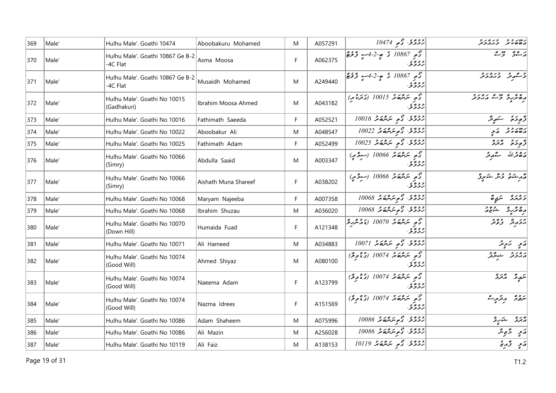| 369 | Male' | Hulhu Male'. Goathi 10474                    | Aboobakuru Mohamed   | M           | A057291 | $10474$ جون محمو $\sim$ 10474 $\sim$                                         | נמנים פנסנים<br>גםסטיני כמהכת |
|-----|-------|----------------------------------------------|----------------------|-------------|---------|------------------------------------------------------------------------------|-------------------------------|
| 370 | Male' | Hulhu Male'. Goathi 10867 Ge B-2<br>-4C Flat | Asma Moosa           | F.          | A062375 | وه 10867 ء ھ-4-2 وڃوڻ<br>دوچو:                                               | ىرمەيچ<br>دو می               |
| 371 | Male' | Hulhu Male'. Goathi 10867 Ge B-2<br>-4C Flat | Musaidh Mohamed      | M           | A249440 | و 10867 ء ھ-2-4 وڪ<br>و و و ء .<br>رند <del>و</del> نو                       | و هم و وره د و                |
| 372 | Male' | Hulhu Male'. Goathi No 10015<br>(Gadhakuri)  | Ibrahim Moosa Ahmed  | M           | A043182 | ج مِي سَرْسْرَةَ عَبْرِ 10015 (دَ مَرْسَسِ)<br>و و و ي<br>رندگرنگ            | مەھەر دە ئەسە ئەرەر د         |
| 373 | Male' | Hulhu Male'. Goathi No 10016                 | Fathimath Saeeda     | $\mathsf F$ | A052521 | ر دور ده مره موسط 10016                                                      | رُّجِرَةٌ سَهِيدٌ             |
| 374 | Male' | Hulhu Male'. Goathi No 10022                 | Aboobakur Ali        | M           | A048547 | 233 <i>3. ۋە مەنگەھەتى 10022</i>                                             |                               |
| 375 | Male' | Hulhu Male'. Goathi No 10025                 | Fathimath Adam       | F.          | A052499 | 23 كَمْ تَوْفَى بِهِ مَرْسُ 10025                                            | توجد و دره                    |
| 376 | Male' | Hulhu Male'. Goathi No 10066<br>(Simry)      | Abdulla Saaid        | M           | A003347 | محمو مترهم كافان (سومي) (سومبر<br>و و پرې<br>رند <del>وگو</del> ٠            | مَەھْرَاللَّهُ جُمْعَهُ       |
| 377 | Male' | Hulhu Male'. Goathi No 10066<br>(Simry)      | Aishath Muna Shareef | F           | A038202 | مجمو <b>سَرْسُمَهُ جَ</b> 10066 (سوڤري)<br>و و و ء .<br>رند بر تو .          | مەر شەرق بالار شەيرى          |
| 378 | Male' | Hulhu Male'. Goathi No 10068                 | Maryam Najeeba       | F.          | A007358 | 10068 كومرمه كان 10068                                                       | و ور و سرّمٍ حٌ               |
| 379 | Male' | Hulhu Male'. Goathi No 10068                 | Ibrahim Shuzau       | M           | A036020 | $10068$ كَمْدَدَّى $2$ مِسْرَسْعَة كَمْ                                      | دەنزىر شىمە                   |
| 380 | Male' | Hulhu Male'. Goathi No 10070<br>(Down Hill)  | Humaida Fuad         | F           | A121348 | دىمو   ئىرىكىنىڭ 10070   (ئامەشرىكى<br>و و و ي.<br>رنونوگو                   | برى برقد توقد                 |
| 381 | Male' | Hulhu Male'. Goathi No 10071                 | Ali Hameed           | M           | A034883 | $10071$ جَمْعَةً $2$ جَمْعِ مَرْسُمْعَةً                                     | پر په پرې پر                  |
| 382 | Male' | Hulhu Male'. Goathi No 10074<br>(Good Will)  | Ahmed Shiyaz         | M           | A080100 | مى مەركىھە 10074 (مۇقىم قىلى)<br>و و و ي.<br>رنونوگو                         | ر ٥ ر و<br>دربرو در سومرور    |
| 383 | Male' | Hulhu Male'. Goathi No 10074<br>(Good Will)  | Naeema Adam          | F.          | A123799 | ە ئىرىش كە2007 (مىقومى)<br>و و و ي.<br>رندگرنگ                               | سَمِيرَ " " " " " "           |
| 384 | Male' | Hulhu Male'. Goathi No 10074<br>(Good Will)  | Nazma Idrees         | $\mathsf F$ | A151569 | ج موسك <i>ره كيرة 10074 (ج</i> نام محرم)<br>و و و ء .<br>رند <del>و</del> نو | سروپچ<br>ىر قرىر مە           |
| 385 | Male' | Hulhu Male'. Goathi No 10086                 | Adam Shaheem         | M           | A075996 | 33°، مى ئىر ئىس ئىس 10086                                                    | پر ہ<br>مرکزو<br>ے کرو        |
| 386 | Male' | Hulhu Male'. Goathi No 10086                 | Ali Mazin            | M           | A256028 | 233 كى مۇمۇستى 10086                                                         | ړې د ځموننګ                   |
| 387 | Male' | Hulhu Male'. Goathi No 10119                 | Ali Faiz             | M           | A138153 | جوم محمد سكر 10119                                                           | أوسمج وتحرم                   |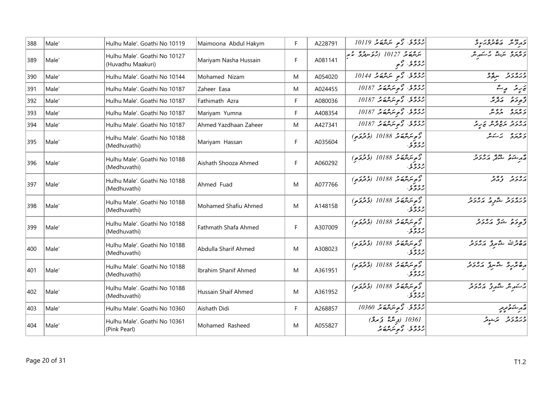| 388 | Male' | Hulhu Male'. Goathi No 10119                      | Maimoona Abdul Hakym  | F. | A228791 | $ 10119\rangle$ جود دي مريدة على التبريزي                                | בגבית גם כפגעם                                |
|-----|-------|---------------------------------------------------|-----------------------|----|---------|--------------------------------------------------------------------------|-----------------------------------------------|
| 389 | Male' | Hulhu Male'. Goathi No 10127<br>(Huvadhu Maakuri) | Mariyam Nasha Hussain | F  | A081141 | سَ سَمْعَةَ 10127 (رَحْمَ سَمَّرْدُ ۖ مَ سَ<br>وووي مي<br>رنزوگو، دي     | رەرە شىش ئەسەر                                |
| 390 | Male' | Hulhu Male'. Goathi No 10144                      | Mohamed Nizam         | M  | A054020 | وووو، مي شرعور 10144                                                     | ورەرو سۇۋ                                     |
| 391 | Male' | Hulhu Male'. Goathi No 10187                      | Zaheer Easa           | M  | A024455 | 22°5. كۈم ئىر سەن 10187.                                                 | ئېرىتىق مېرىتى                                |
| 392 | Male' | Hulhu Male'. Goathi No 10187                      | Fathimath Azra        | F. | A080036 | 233 كى ئۇم ئىر شەك 10187                                                 | وٌجوحَ حَقَّدَ يَمَّ                          |
| 393 | Male' | Hulhu Male'. Goathi No 10187                      | Mariyam Yumna         | F. | A408354 | 22 <i>3 - مي مربوعة كي 10187</i>                                         | נ סנים - כם ה.<br>בי <i>נ</i> ו <i>ת כ</i> ות |
| 394 | Male' | Hulhu Male'. Goathi No 10187                      | Ahmed Yazdhaan Zaheer | M  | A427341 | 10187 كومرورى 10187                                                      | גפגב גם בס, הבק                               |
| 395 | Male' | Hulhu Male', Goathi No 10188<br>(Medhuvathi)      | Mariyam Hassan        | F. | A035604 | مح مرشر 10188 (محمد مرضي)<br>و و و ء .<br>رند <del>و</del> و .           | رەرە بەسەر                                    |
| 396 | Male' | Hulhu Male', Goathi No 10188<br>(Medhuvathi)      | Aishath Shooza Ahmed  | F  | A060292 | ە مەسكە 10188 (ئاقرىق ئاھرىم)<br>و و دي.<br>رندگرنو                      |                                               |
| 397 | Male' | Hulhu Male'. Goathi No 10188<br>(Medhuvathi)      | Ahmed Fuad            | M  | A077766 | ە مەشھەتمە 10188 (ئ <i>ەم</i> مۇم)<br>د د و ځ<br>رنونو د                 | رەر دەر                                       |
| 398 | Male' | Hulhu Male'. Goathi No 10188<br>(Medhuvathi)      | Mohamed Shafiu Ahmed  | M  | A148158 | مى مەركى 10188 (ئى قرىم م<br>د د و ء .<br>رند <del>و</del> و .           | ورەر دېمبۇر دەر د                             |
| 399 | Male' | Hulhu Male', Goathi No 10188<br>(Medhuvathi)      | Fathmath Shafa Ahmed  | F  | A307009 | و مرتكز 10188 (كافروم)<br>و و و ء .<br>رند <del>و</del> نو               | و د د شو ده ده د                              |
| 400 | Male' | Hulhu Male'. Goathi No 10188<br>(Medhuvathi)      | Abdulla Sharif Ahmed  | M  | A308023 | ج مِ مَرْسْمَة حَمْرٍ 10188 (مُحْتَمَّةِ مِيَّةِ )<br>د د وي.<br>رندگرنگ | رە داللە ھەمرو مەدر                           |
| 401 | Male' | Hulhu Male', Goathi No 10188<br>(Medhuvathi)      | Ibrahim Shanif Ahmed  | M  | A361951 | وتم مَرْمُرْهَة حَمْدِ 10188 (تَرْمَرْمَةِ)<br>و و و ء .<br>رند و و .    | رە ئرىۋ شەر ئەرەر                             |
| 402 | Male' | Hulhu Male'. Goathi No 10188<br>(Medhuvathi)      | Hussain Shaif Ahmed   | M  | A361952 | و مرتكز 10188 (كافرومو)<br>و و و ي.<br>رنونوگو                           | ج سکر سی سگر دی کار در د                      |
| 403 | Male' | Hulhu Male'. Goathi No 10360                      | Aishath Didi          | F  | A268857 | ر د دي.<br>حرگ کې د موسر سرچ پر 10360                                    | وگهر ڪوڪوبور<br>م                             |
| 404 | Male' | Hulhu Male'. Goathi No 10361<br>(Pink Pearl)      | Mohamed Rasheed       | M  | A055827 | 10361 (بوشره بوسره)<br>10362 - دېموسر شرحه چر                            | درور د بر<br>در در بر بور                     |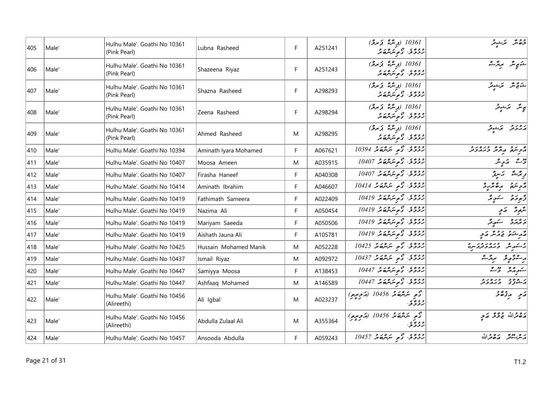| 405 | Male' | Hulhu Male'. Goathi No 10361<br>(Pink Pearl) | Lubna Rasheed         | F.          | A251241 | 10361 (بويثرند بوّسر محمد)<br>و و دې په کړه د د                      | و <i>و ش</i> ر بر <sub>شو</sub> تر<br>م                                                                                                                                                                                          |
|-----|-------|----------------------------------------------|-----------------------|-------------|---------|----------------------------------------------------------------------|----------------------------------------------------------------------------------------------------------------------------------------------------------------------------------------------------------------------------------|
| 406 | Male' | Hulhu Male'. Goathi No 10361<br>(Pink Pearl) | Shazeena Riyaz        | F.          | A251243 | 10361 (بوشره ب <del>ر</del> مرمح)<br>وودی می گروه و                  | أيتكم بمستر مرتزلت                                                                                                                                                                                                               |
| 407 | Male' | Hulhu Male'. Goathi No 10361<br>(Pink Pearl) | Shazna Rasheed        | $\mathsf F$ | A298293 | <i>10361 (بوتىنتا بۇيى</i> رى <i>تى)</i><br>ووړي ده کړه د د          | لشوج مگر سم شوقر                                                                                                                                                                                                                 |
| 408 | Male' | Hulhu Male'. Goathi No 10361<br>(Pink Pearl) | Zeena Rasheed         | F.          | A298294 | <i>10361 (بوشره بوَمرچ)</i><br>وووی می تر ور د                       | ىم ئىگە ئىمكىشونىگە                                                                                                                                                                                                              |
| 409 | Male' | Hulhu Male'. Goathi No 10361<br>(Pink Pearl) | Ahmed Rasheed         | M           | A298295 | <i>10361 (بويثرنا بوَيْرى)</i><br>ووی می گرور و                      | رەرە بەيدۇر                                                                                                                                                                                                                      |
| 410 | Male' | Hulhu Male'. Goathi No 10394                 | Aminath Iyara Mohamed | F           | A067621 | وووي محمد شرق 10394                                                  | أدوسمي والمرمز وبرود و                                                                                                                                                                                                           |
| 411 | Male' | Hulhu Male'. Goathi No 10407                 | Moosa Ameen           | M           | A035915 | $10407$ كَمُدَدَّى $2$ مِسَرْسَعَة $52$                              | ژئے گروپر                                                                                                                                                                                                                        |
| 412 | Male' | Hulhu Male'. Goathi No 10407                 | Firasha Haneef        | F.          | A040308 | 233 كى مۇسكەن 10407                                                  | وِ مَرْڪَ - سَرَسِرُ                                                                                                                                                                                                             |
| 413 | Male' | Hulhu Male', Goathi No 10414                 | Aminath Ibrahim       | F.          | A046607 | دووی ده پروه د 10414                                                 | ومحافيهم والمتحرمة                                                                                                                                                                                                               |
| 414 | Male' | Hulhu Male'. Goathi No 10419                 | Fathimath Sameera     | F.          | A022409 | <sup>2</sup> دۇغ ئىم ئىر ئىشقەتمە 10419                              | ۇ بوز ە<br>ستهجد                                                                                                                                                                                                                 |
| 415 | Male' | Hulhu Male'. Goathi No 10419                 | Nazima Ali            | F.          | A050454 | <sup>2</sup> دۇغ ئىم ئىر ئىشقەتمە 10419                              | شَعِرَمَ - مَدِ                                                                                                                                                                                                                  |
| 416 | Male' | Hulhu Male'. Goathi No 10419                 | Mariyam Saeeda        | F.          | A050506 | <sup>2</sup> دېگو د موسر سه 10419                                    | رەرە سەرقە                                                                                                                                                                                                                       |
| 417 | Male' | Hulhu Male'. Goathi No 10419                 | Aishath Jauna Ali     | F.          | A105781 | 332°، ئۇمەتترىق تە10419                                              | و در در در در در                                                                                                                                                                                                                 |
| 418 | Male' | Hulhu Male'. Goathi No 10425                 | Hussain Mohamed Manik | M           | A052228 | <sup>22</sup> 2 <i>2. جمع مربوعة 10425</i>                           | 2 גילת יישוב ב 2 גם 2 גילים ביו היישוב ביו היישוב ביו היישוב ביו היישוב ביו היישוב ביו היישוב ביו היישוב ביו ה<br>היישוב היישוב ביו היישוב ביו היישוב ביו היישוב ביו היישוב היישוב ביו היישוב ביו היישוב ביו היישוב ביו היישוב ב |
| 419 | Male' | Hulhu Male'. Goathi No 10437                 | Ismail Riyaz          | M           | A092972 | 10437 كو مرمومة 10437                                                | وكوكوفر مركزك                                                                                                                                                                                                                    |
| 420 | Male' | Hulhu Male'. Goathi No 10447                 | Samiyya Moosa         | F.          | A138453 | 10447 كومرمۇم 10447                                                  | السومدة ويتم                                                                                                                                                                                                                     |
| 421 | Male' | Hulhu Male'. Goathi No 10447                 | Ashfaaq Mohamed       | M           | A146589 | 222 - مى مەرەپ 10447 10447                                           | ر موج وره رو<br>مشوق وبرماونر                                                                                                                                                                                                    |
| 422 | Male' | Hulhu Male'. Goathi No 10456<br>(Alireethi)  | Ali Igbal             | M           | A023237 | مجمو تتركك محمد 10456 (مجرميرم)<br>ر و و ء .<br>رند <del>و</del> و . | أوسمج ويحقو                                                                                                                                                                                                                      |
| 423 | Male' | Hulhu Male'. Goathi No 10456<br>(Alireethi)  | Abdulla Zulaal Ali    | M           | A355364 | محمو تتركك محمد 10456 (محرميدم)<br>و و و ي.<br>رنونوگو               | رە داللە بىمۇ كەير                                                                                                                                                                                                               |
| 424 | Male' | Hulhu Male'. Goathi No 10457                 | Ansooda Abdulla       | F.          | A059243 | 333 كومبر مركز 10457.                                                | بر مردونه بر محمدالله                                                                                                                                                                                                            |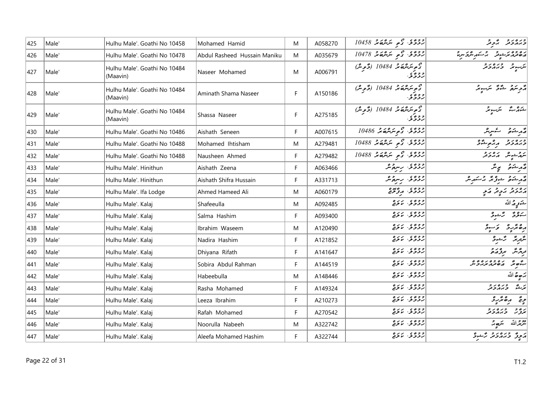| 425 | Male' | Hulhu Male'. Goathi No 10458             | Mohamed Hamid                | M  | A058270 | $10458$ حِمْدَ حَمْدِ مَرْسُوْعَةٌ $10458$                              | ورەرو بۇ بۇ                                                                                          |
|-----|-------|------------------------------------------|------------------------------|----|---------|-------------------------------------------------------------------------|------------------------------------------------------------------------------------------------------|
| 426 | Male' | Hulhu Male'. Goathi No 10478             | Abdul Rasheed Hussain Maniku | M  | A035679 | 32°، دُو سَرْمُ 10478.                                                  | .<br>הפנה הייניה היית ייתור                                                                          |
| 427 | Male' | Hulhu Male'. Goathi No 10484<br>(Maavin) | Naseer Mohamed               | M  | A006791 | مجموعَتْرْمُعَة كَدْ 10484 (مُحَمَّدٍ مِثْرًا<br>و و و ي.<br>رندگرنگ    | بترسونه وبره دو                                                                                      |
| 428 | Male' | Hulhu Male'. Goathi No 10484<br>(Maavin) | Aminath Shama Naseer         | F  | A150186 | ە مەسكىھەتمە 10484 (مۇمىر<br>و و و ي.<br>رنونوگو                        | أأدوبتهم الشركة الترسومر                                                                             |
| 429 | Male' | Hulhu Male'. Goathi No 10484<br>(Maavin) | Shassa Naseer                | F  | A275185 | د <i>ىمومىتىھەتمە 10484 (څو</i> مى <i>تە)</i><br>و و و ء .<br>رند و و . | أخور مندور                                                                                           |
| 430 | Male' | Hulhu Male', Goathi No 10486             | Aishath Seneen               | F. | A007615 | 22 <i>32. ومرتبطة ك</i> م10486                                          | گے سریگر<br>پ <sup>و</sup> پر شکھی                                                                   |
| 431 | Male' | Hulhu Male'. Goathi No 10488             | Mohamed Ihtisham             | M  | A279481 | 332 كومبر متر من 10488 10488                                            | ورەرو مرروشۇ                                                                                         |
| 432 | Male' | Hulhu Male'. Goathi No 10488             | Nausheen Ahmed               | F  | A279482 | رووي مي سرائيه چار 10488                                                | رو <sub>ح</sub> وم رورو<br>سمد شوس مدوفر                                                             |
| 433 | Male' | Hulhu Male'. Hinithun                    | Aishath Zeena                | F  | A063466 | ر د د و .<br>رندگری از برموش                                            | أشهر مشتور سمح يتمر                                                                                  |
| 434 | Male' | Hulhu Male'. Hinithun                    | Aishath Shifra Hussain       | F. | A331713 | و و دی.<br>رندولو، په برموش                                             | و منعدد الشور من المراكب المراكب المراكب المراكب المراكب المراكب المراكب المراكب المراكب المراكب الم |
| 435 | Male' | Hulhu Male'. Ifa Lodge                   | Ahmed Hameed Ali             | M  | A060179 | و و ه و .<br>رندگرنگ مرتوجه                                             | رەرو بەدە ھېر                                                                                        |
| 436 | Male' | Hulhu Male'. Kalaj                       | Shafeeulla                   | M  | A092485 | و و » ي - ر ر ه<br>  ر ر د گر - ر ر کوچ                                 | شەرچ الله                                                                                            |
| 437 | Male' | Hulhu Male'. Kalaj                       | Salma Hashim                 | F. | A093400 | وو» ۽ رماره<br>رکورکل کالمربع                                           | سُوْرٌ رُّحْدُ                                                                                       |
| 438 | Male' | Hulhu Male'. Kalaj                       | Ibrahim Waseem               | M  | A120490 | وو» ي رره<br>رنزونو، رکونع                                              | أرە ئۆر ئەسىر                                                                                        |
| 439 | Male' | Hulhu Male'. Kalaj                       | Nadira Hashim                | F  | A121852 | و و » » .<br>رى دى گ                                                    | مُرْمِر مُرْ - رُ-و دُ                                                                               |
| 440 | Male' | Hulhu Male'. Kalaj                       | Dhiyana Rifath               | F  | A141647 | و و » » دره<br>رندگرنگ امکونع                                           | مرتژنتر   بروره و                                                                                    |
| 441 | Male' | Hulhu Male'. Kalaj                       | Sobira Abdul Rahman          | F. | A144519 | و و ه ي .<br>رند <del>و</del> تو  ما نوفع                               | ر ٥ ۶ ٥ ٥ ٥ ٥ ٠<br>د ځ تر د برر تر س<br>سەھ ئىر                                                      |
| 442 | Male' | Hulhu Male'. Kalaj                       | Habeebulla                   | M  | A148446 | و و د ي .<br>رنونژگو . ما نوفع                                          | برحاحة اللّه                                                                                         |
| 443 | Male' | Hulhu Male'. Kalaj                       | Rasha Mohamed                | F. | A149324 | و و ه ي .<br>رند <del>و</del> تو  ما نوفع                               | ىرىش<br>و ره ر د<br><i>د ب</i> رگرمر                                                                 |
| 444 | Male' | Hulhu Male'. Kalaj                       | Leeza Ibrahim                | F  | A210273 | و و » » دره<br>رندگرنگ امکونع                                           | دِیۡ مِهۡ مُرَبِّ                                                                                    |
| 445 | Male' | Hulhu Male'. Kalaj                       | Rafah Mohamed                | F. | A270542 | و و » » دره<br>رنزوگر ۱۰ مربع                                           | و ر ه ر و<br><i>و پر</i> و تر<br>ىر بەر<br>بىرى <i>ق</i> ەت                                          |
| 446 | Male' | Hulhu Male'. Kalaj                       | Noorulla Nabeeh              | M  | A322742 | ووه و روه<br>رنو <del>وکو</del> . مانونع                                | فتريمرالله مترجير                                                                                    |
| 447 | Male' | Hulhu Male'. Kalaj                       | Aleefa Mohamed Hashim        | F. | A322744 | و و ه ي .<br>رند <del>و</del> تو  ما نوفع                               | أرورٌ ورەرو محبورٌ                                                                                   |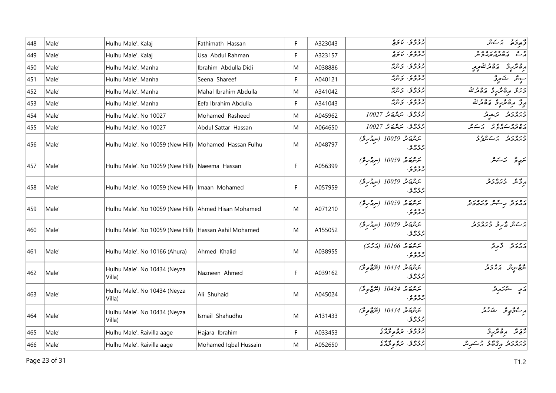| 448 | Male' | Hulhu Male'. Kalaj                                      | Fathimath Hassan      | F. | A323043 | و و ه ي .<br>رنز د تو تو تع                                            | ق قرح برسك من                             |
|-----|-------|---------------------------------------------------------|-----------------------|----|---------|------------------------------------------------------------------------|-------------------------------------------|
| 449 | Male' | Hulhu Male'. Kalaj                                      | Usa Abdul Rahman      | F  | A323157 | و و ه ي .<br>رنز و تو م توقع                                           | د مه ده ده ده د د<br>مه شو مه مرد سر      |
| 450 | Male' | Hulhu Male'. Manha                                      | Ibrahim Abdulla Didi  | M  | A038886 | ووەي. ئەنەر<br>رىمە <del>رى</del> ي. ئەنەرگ                            | مرە ئرىرى ئەھىراللەمبىر                   |
| 451 | Male' | Hulhu Male'. Manha                                      | Seena Shareef         | F  | A040121 | وووي کارونو<br>رندونو، کاندرگ                                          | سېنگر شکېږگر                              |
| 452 | Male' | Hulhu Male'. Manha                                      | Mahal Ibrahim Abdulla | M  | A341042 | وووي. ئ <i>ەرە</i> بە                                                  | رره مصغرية مكاملة                         |
| 453 | Male' | Hulhu Male'. Manha                                      | Eefa Ibrahim Abdulla  | F  | A341043 | ووەي ئەھەم                                                             | مرِقَ مِرْحَمَّدِ حَقَّقَ اللَّهُ         |
| 454 | Male' | Hulhu Male'. No 10027                                   | Mohamed Rasheed       | M  | A045962 | $10027$ $222.$ $322$                                                   | ورەرو بەيدۇ.<br><i>ھەم</i> ەر بەيدۇر      |
| 455 | Male' | Hulhu Male'. No 10027                                   | Abdul Sattar Hassan   | M  | A064650 | $10027$ $222$ $-222$                                                   | رە دە بەھ دىكرىشى<br>مەھەرم سىمى جاملىشى  |
| 456 | Male' | Hulhu Male'. No 10059 (New Hill)   Mohamed Hassan Fulhu |                       | M  | A048797 | ىئرىئىھ ئى 10059 (سى ئەسىر ئى<br>ر و و ء .<br>رند <del>و</del> و .     | ورەرو بەشتەرور<br><i>جەيدونس بە</i> شتىرى |
| 457 | Male' | Hulhu Male'. No 10059 (New Hill) Naeema Hassan          |                       | F  | A056399 | تربثه 10059 (سِمْرِ بِعْ)<br>و و و ء .<br>رند <del>و</del> نو          | سَمِيرَ يَرَ يَدَ سَرَ سَرَ               |
| 458 | Male' | Hulhu Male'. No 10059 (New Hill)   Imaan Mohamed        |                       | F  | A057959 | تربىق قى 10059 (سىدىرى)<br>و و و ء .<br>رند <del>و</del> نو            | مروش ورەرد                                |
| 459 | Male' | Hulhu Male'. No 10059 (New Hill) Ahmed Hisan Mohamed    |                       | M  | A071210 | شرعى 10059 (سِمْ سِرْ بِ<br>و و و ي.<br>رنونونو .                      | גם גב גם בגם גב                           |
| 460 | Male' | Hulhu Male'. No 10059 (New Hill)   Hassan Aahil Mohamed |                       | M  | A155052 | ىئرىگەنگە 10059 (سەمبەنى)<br>و و و ي.<br>رنونوگو                       | ر ره و دره در در د                        |
| 461 | Male' | Hulhu Male'. No 10166 (Ahura)                           | Ahmed Khalid          | M  | A038955 | <i>سَرْمَرْهُ كَيْ</i> 10166 (مَرْكَبَمُ)<br>و و » »<br>روژنو          | أروروا المعجفر                            |
| 462 | Male' | Hulhu Male'. No 10434 (Neyza<br>Villa)                  | Nazneen Ahmed         | F  | A039162 | مَرْمُهُمْ 10434 (مَنْتَهُ وِمَّىَ)<br>ح و و ي.<br>رند <del>و</del> نو | ر ور ده در د<br>سرچ سرس مدر در            |
| 463 | Male' | Hulhu Male'. No 10434 (Neyza<br>Villa)                  | Ali Shuhaid           | M  | A045024 | مَرْمُهُمْ 10434 (مَنْتَهُ مِعَّ)<br>و و و ء .<br>رو <del>و</del> و.   | أوسمج المشتر مرفد                         |
| 464 | Male' | Hulhu Male'. No 10434 (Neyza<br>Villa)                  | Ismail Shahudhu       | M  | A131433 | مَرْسْهَةَ 10434 (سَمَّةَ وَمَّ<br>و و و ي.<br>رنونوگو                 | بر شرقه پر در در بر در در                 |
| 465 | Male' | Hulhu Male'. Raivilla aage                              | Hajara Ibrahim        | F  | A033453 | ر د وي . ده و و و د                                                    | رويز المقتررة                             |
| 466 | Male' | Hulhu Male'. Raivilla aage                              | Mohamed Iqbal Hussain | M  | A052650 | دووی بره و و و د                                                       | ورەرو مەدەپ كەسكەش                        |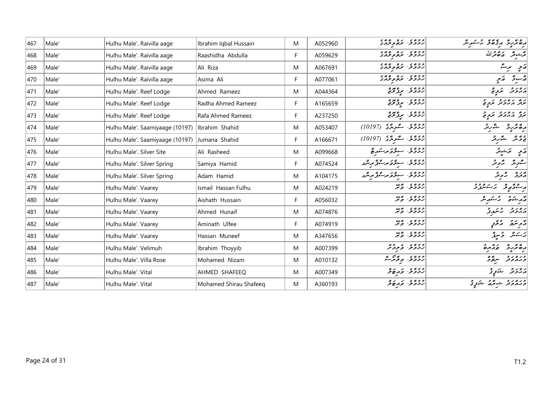| 467 | Male' | Hulhu Male'. Raivilla aage      | Ibrahim Iqbal Hussain  | M | A052960 | و و ده و .<br>رنوبو د . سره و نور د                    | رەپرىز رېۋە ئەسكىر               |
|-----|-------|---------------------------------|------------------------|---|---------|--------------------------------------------------------|----------------------------------|
| 468 | Male' | Hulhu Male'. Raivilla aage      | Raashidha Abdulla      | F | A059629 | ככמי גם ממי<br>געב <b>צ</b> י <i>ממ</i> פי <i>ב</i> וג | وكافقرالله<br>  بگرىشەقگر        |
| 469 | Male' | Hulhu Male'. Raivilla aage      | Ali Riza               | M | A067691 | ככשי גם ששיי<br><mark>גיבילי זקופיכ</mark> מצ          | أركمني المرسيح                   |
| 470 | Male' | Hulhu Male'. Raivilla aage      | Asima Ali              | F | A077061 | ככשי גם ששי<br>געב <del>עי מ</del> ספי <i>ב</i> וג     | ړم سرځ<br>رتمز                   |
| 471 | Male' | Hulhu Male'. Reef Lodge         | Ahmed Rameez           | M | A044364 | و و د ی .<br>رندگرفر . مربو مربع                       | رەر ئەچ                          |
| 472 | Male' | Hulhu Male'. Reef Lodge         | Radha Ahmed Rameez     | F | A165659 | و و د ي .<br>رندونو .   سرونونو                        | بروگر برورو برېږ                 |
| 473 | Male' | Hulhu Male'. Reef Lodge         | Rafa Ahmed Rameez      | F | A237250 | و و د ي .<br>رندگر د . مروکرد                          | پرو پر پر پر پر پر               |
| 474 | Male' | Hulhu Male'. Saamiyaage (10197) | Ibrahim Shahid         | M | A053407 | رْدْدَّنْدْ. سَنْدَهْدْ (10197)                        | ە ھەترىرى<br>س<br>ستگرمر         |
| 475 | Male' | Hulhu Male'. Saamiyaage (10197) | Jumana Shahid          | F | A166671 | $(10197)$ مِحْوَّجٌ وَسَعْرَ $(79197)$                 | ا تەنزىتر<br>ئ<br>ستەرىر         |
| 476 | Male' | Hulhu Male'. Silver Site        | Ali Rasheed            | M | A099668 | وووي سوء بريده                                         | أركمني التركيبوتر                |
| 477 | Male' | Hulhu Male'. Silver Spring      | Samiya Hamid           | F | A074524 | رىزدۇ. سوۋىرسۇرىرىگى                                   | برٌوترُ<br>  گەدەڭر              |
| 478 | Male' | Hulhu Male'. Silver Spring      | Adam Hamid             | M | A104175 | ر د وي. سوده برسود برس                                 | برره برور<br>م <i>حرو ب</i> روتر |
| 479 | Male' | Hulhu Male'. Vaarey             | Ismail Hassan Fulhu    | M | A024219 | و و د ي .<br>رنو د بو .                                | وستوحيفه<br>پر کے منگلی تھ       |
| 480 | Male' | Hulhu Male'. Vaarey             | Aishath Hussain        | F | A056032 | و و د ي .<br>رنو <del>و</del> .     و بر               | أمار منسوم بالمسكر مثل           |
| 481 | Male' | Hulhu Male'. Vaarey             | Ahmed Hunaif           | M | A074876 | و و د ي .<br>رنو <del>و</del> .     و بر               | أرور ويمدو                       |
| 482 | Male' | Hulhu Male'. Vaarey             | Aminath Ulfee          | F | A074919 | و و د ي .<br>رنو <del>و</del> .     و بر               | أثمر سنرقر<br>ەر ئۇي             |
| 483 | Male' | Hulhu Male'. Vaarey             | Hassan Muneef          | M | A347656 | و و ده په ده په<br>رنون کو تن                          | پرسەنلەر ئەسرىقە                 |
| 484 | Male' | Hulhu Male'. Velimuh            | Ibrahim Thoyyib        | M | A007399 | ووي ۽ وه<br>روپوس ھرونر                                | ە ھەتمەر 2<br>س<br>جوبر سرحة     |
| 485 | Male' | Hulhu Male'. Villa Rose         | Mohamed Nizam          | M | A010132 | وووي <sub>حر</sub> وم ه<br>رنزونو <sub>ح</sub> رونگر   | و ره ر و<br>د بر رو تر<br>سرۇر   |
| 486 | Male' | Hulhu Male'. Vital              | AHMED SHAFEEQ          | M | A007349 | رووي که ده                                             | رەر ئەرتى                        |
| 487 | Male' | Hulhu Male'. Vital              | Mohamed Shirau Shafeeg | M | A360193 | ردوي تمام کام                                          | ورەرو جەنگە جەرج                 |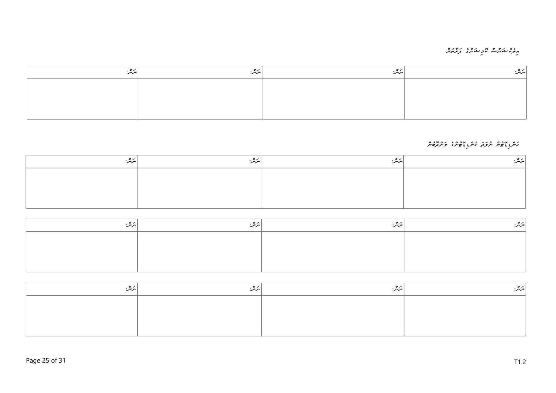## *w7qAn8m? sCw7mRo>u; wEw7mRw;sBo<*

| ' مرمر | 'يئرىثر: |
|--------|----------|
|        |          |
|        |          |
|        |          |

## *w7q9r@w7m> sCw7qHtFoFw7s; mAm=q7 w7qHtFoFw7s;*

| ىر تە | $\mathcal{O} \times$<br>$\sim$ | $\sim$<br>. . | لترنثر |
|-------|--------------------------------|---------------|--------|
|       |                                |               |        |
|       |                                |               |        |
|       |                                |               |        |

| انترنثر: | $^{\circ}$ | يبرهر | $^{\circ}$<br>سرسر |
|----------|------------|-------|--------------------|
|          |            |       |                    |
|          |            |       |                    |
|          |            |       |                    |

| ' ئىرتىر: | سر سر |  |
|-----------|-------|--|
|           |       |  |
|           |       |  |
|           |       |  |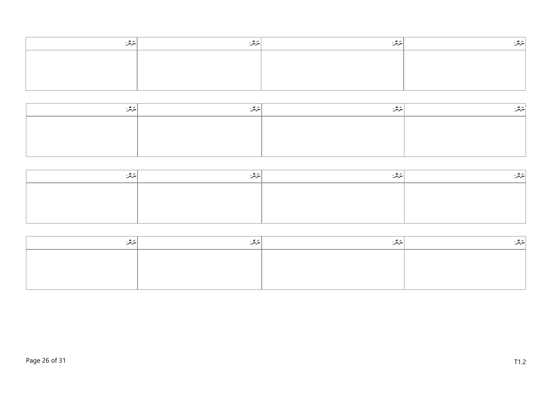| يزهر | $^{\circ}$ | ىئرىتر: |  |
|------|------------|---------|--|
|      |            |         |  |
|      |            |         |  |
|      |            |         |  |

| <sup>.</sup> سرسر. |  |
|--------------------|--|
|                    |  |
|                    |  |
|                    |  |

| ىئرىتر. | $\sim$ | ا بر هه. | لىرىش |
|---------|--------|----------|-------|
|         |        |          |       |
|         |        |          |       |
|         |        |          |       |

| يترمثر | $^{\circ}$ | يرمر. |
|--------|------------|-------|
|        |            |       |
|        |            |       |
|        |            |       |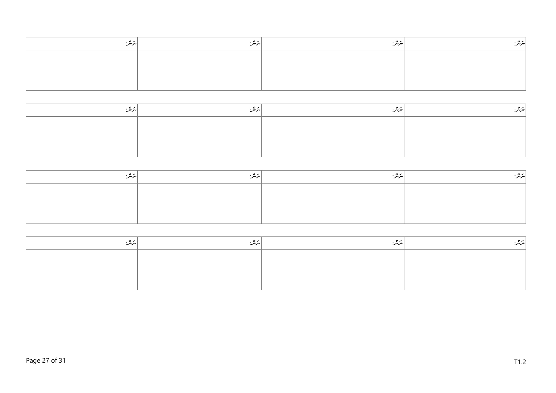| ير هو . | $\overline{\phantom{a}}$ | يرمر | اير هنه. |
|---------|--------------------------|------|----------|
|         |                          |      |          |
|         |                          |      |          |
|         |                          |      |          |

| ىر تىر: | $\circ$ $\sim$<br>" سرسر . | يبرحه | o . |
|---------|----------------------------|-------|-----|
|         |                            |       |     |
|         |                            |       |     |
|         |                            |       |     |

| انترنثر: | ر ه |  |
|----------|-----|--|
|          |     |  |
|          |     |  |
|          |     |  |

|  | . ه |
|--|-----|
|  |     |
|  |     |
|  |     |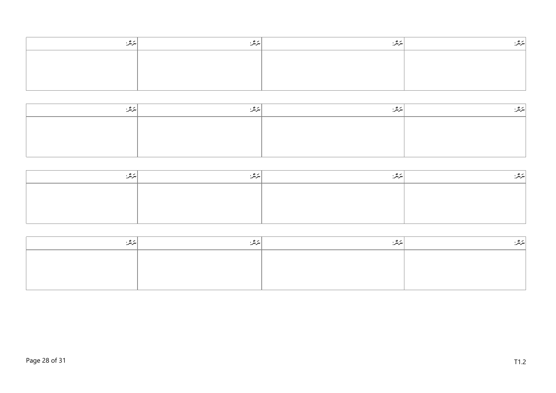| ير هو . | $\overline{\phantom{a}}$ | يرمر | اير هنه. |
|---------|--------------------------|------|----------|
|         |                          |      |          |
|         |                          |      |          |
|         |                          |      |          |

| ىر تىر: | $\circ$ $\sim$<br>" سرسر . | يبرحه | o . |
|---------|----------------------------|-------|-----|
|         |                            |       |     |
|         |                            |       |     |
|         |                            |       |     |

| الترنثر: | ' مرتكز: | الترنثر: | .,<br>سرسر. |
|----------|----------|----------|-------------|
|          |          |          |             |
|          |          |          |             |
|          |          |          |             |

|  | . ه |
|--|-----|
|  |     |
|  |     |
|  |     |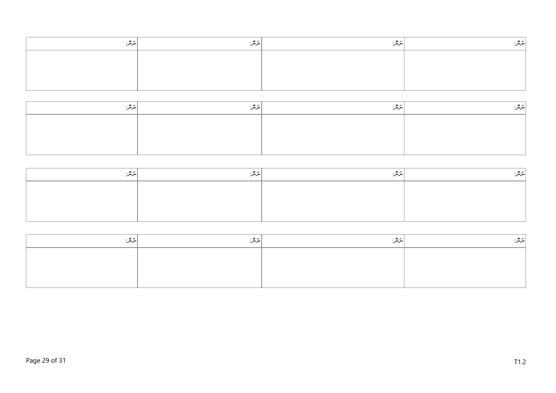| $\cdot$ | ο. | $\frac{\circ}{\cdot}$ | $\sim$<br>سرسر |
|---------|----|-----------------------|----------------|
|         |    |                       |                |
|         |    |                       |                |
|         |    |                       |                |

| ايرعر: | ر ه<br>. . |  |
|--------|------------|--|
|        |            |  |
|        |            |  |
|        |            |  |

| بر ه | 。 | $\sim$<br>َ سومس |  |
|------|---|------------------|--|
|      |   |                  |  |
|      |   |                  |  |
|      |   |                  |  |

| 。<br>. س | ىرىىر |  |
|----------|-------|--|
|          |       |  |
|          |       |  |
|          |       |  |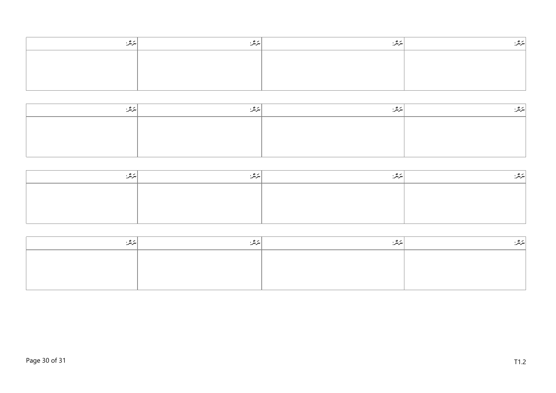| ير هو . | $\overline{\phantom{a}}$ | يرمر | اير هنه. |
|---------|--------------------------|------|----------|
|         |                          |      |          |
|         |                          |      |          |
|         |                          |      |          |

| ئىرتىر: | $\sim$<br>ا سرسر . | يئرمثر | o . |
|---------|--------------------|--------|-----|
|         |                    |        |     |
|         |                    |        |     |
|         |                    |        |     |

| 'تترنثر: | ر ه |  |
|----------|-----|--|
|          |     |  |
|          |     |  |
|          |     |  |

|  | . ه |
|--|-----|
|  |     |
|  |     |
|  |     |